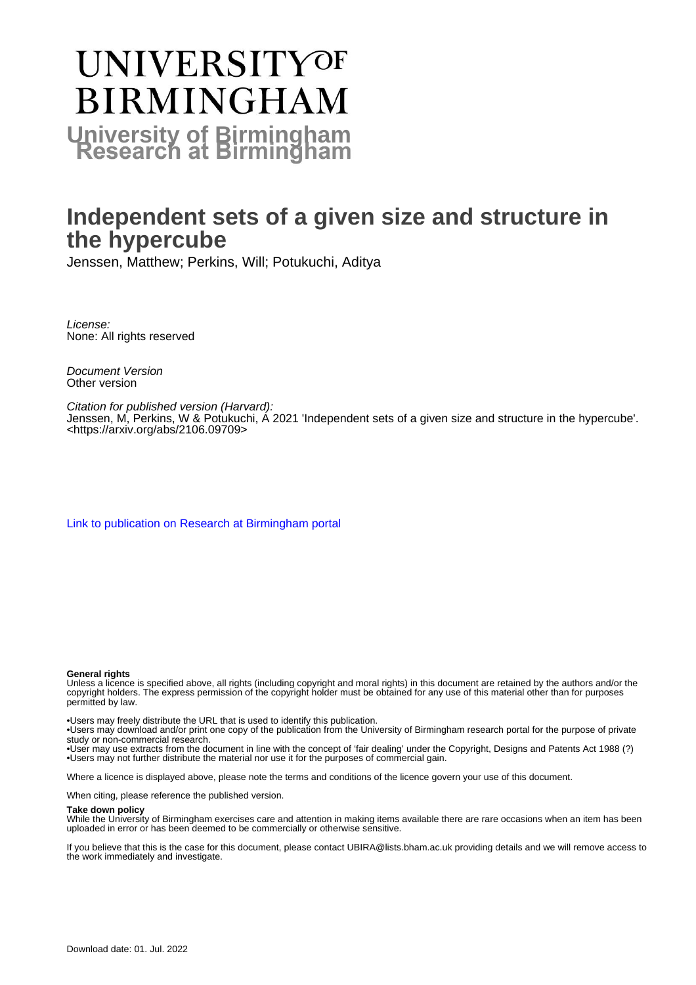# **UNIVERSITYOF BIRMINGHAM University of Birmingham**

## **Independent sets of a given size and structure in the hypercube**

Jenssen, Matthew; Perkins, Will; Potukuchi, Aditya

License: None: All rights reserved

Document Version Other version

Citation for published version (Harvard): Jenssen, M, Perkins, W & Potukuchi, A 2021 'Independent sets of a given size and structure in the hypercube'. <[https://arxiv.org/abs/2106.09709>](https://arxiv.org/abs/2106.09709)

[Link to publication on Research at Birmingham portal](https://birmingham.elsevierpure.com/en/publications/55a02a4a-4b8b-4506-a271-ee928b0e464f)

#### **General rights**

Unless a licence is specified above, all rights (including copyright and moral rights) in this document are retained by the authors and/or the copyright holders. The express permission of the copyright holder must be obtained for any use of this material other than for purposes permitted by law.

• Users may freely distribute the URL that is used to identify this publication.

• Users may download and/or print one copy of the publication from the University of Birmingham research portal for the purpose of private study or non-commercial research.

• User may use extracts from the document in line with the concept of 'fair dealing' under the Copyright, Designs and Patents Act 1988 (?) • Users may not further distribute the material nor use it for the purposes of commercial gain.

Where a licence is displayed above, please note the terms and conditions of the licence govern your use of this document.

When citing, please reference the published version.

#### **Take down policy**

While the University of Birmingham exercises care and attention in making items available there are rare occasions when an item has been uploaded in error or has been deemed to be commercially or otherwise sensitive.

If you believe that this is the case for this document, please contact UBIRA@lists.bham.ac.uk providing details and we will remove access to the work immediately and investigate.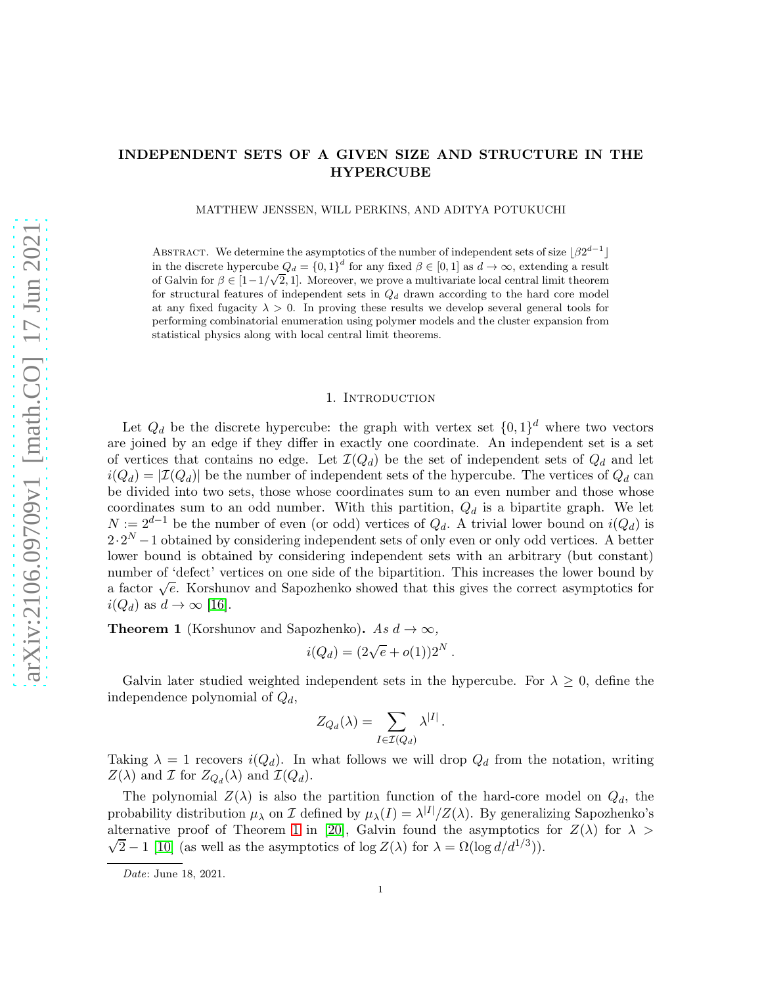### INDEPENDENT SETS OF A GIVEN SIZE AND STRUCTURE IN THE HYPERCUBE

MATTHEW JENSSEN, WILL PERKINS, AND ADITYA POTUKUCHI

ABSTRACT. We determine the asymptotics of the number of independent sets of size  $\lfloor \beta 2^{d-1} \rfloor$ in the discrete hypercube  $Q_d = \{0,1\}^d$  for any fixed  $\beta \in [0,1]$  as  $d \to \infty$ , extending a result of Galvin for  $\beta \in [1-1/\sqrt{2}, 1]$ . Moreover, we prove a multivariate local central limit theorem for structural features of independent sets in  $Q_d$  drawn according to the hard core model at any fixed fugacity  $\lambda > 0$ . In proving these results we develop several general tools for performing combinatorial enumeration using polymer models and the cluster expansion from statistical physics along with local central limit theorems.

#### 1. INTRODUCTION

Let  $Q_d$  be the discrete hypercube: the graph with vertex set  $\{0,1\}^d$  where two vectors are joined by an edge if they differ in exactly one coordinate. An independent set is a set of vertices that contains no edge. Let  $\mathcal{I}(Q_d)$  be the set of independent sets of  $Q_d$  and let  $i(Q_d) = |\mathcal{I}(Q_d)|$  be the number of independent sets of the hypercube. The vertices of  $Q_d$  can be divided into two sets, those whose coordinates sum to an even number and those whose coordinates sum to an odd number. With this partition,  $Q_d$  is a bipartite graph. We let  $N := 2^{d-1}$  be the number of even (or odd) vertices of  $Q_d$ . A trivial lower bound on  $i(Q_d)$  is  $2\cdot 2^N - 1$  obtained by considering independent sets of only even or only odd vertices. A better lower bound is obtained by considering independent sets with an arbitrary (but constant) number of 'defect' vertices on one side of the bipartition. This increases the lower bound by a factor  $\sqrt{e}$ . Korshunov and Sapozhenko showed that this gives the correct asymptotics for  $i(Q_d)$  as  $d \to \infty$  [\[16\]](#page-19-0).

<span id="page-1-0"></span>**Theorem 1** (Korshunov and Sapozhenko). As  $d \to \infty$ ,

$$
i(Q_d) = (2\sqrt{e} + o(1))2^N.
$$

Galvin later studied weighted independent sets in the hypercube. For  $\lambda \geq 0$ , define the independence polynomial of  $Q_d$ ,

$$
Z_{Q_d}(\lambda) = \sum_{I \in \mathcal{I}(Q_d)} \lambda^{|I|}.
$$

Taking  $\lambda = 1$  recovers  $i(Q_d)$ . In what follows we will drop  $Q_d$  from the notation, writing  $Z(\lambda)$  and I for  $Z_{Q_d}(\lambda)$  and  $\mathcal{I}(Q_d)$ .

The polynomial  $Z(\lambda)$  is also the partition function of the hard-core model on  $Q_d$ , the probability distribution  $\mu_{\lambda}$  on I defined by  $\mu_{\lambda}(I) = \lambda^{|I|}/Z(\lambda)$ . By generalizing Sapozhenko's alternative proof of Theorem [1](#page-1-0) in [\[20\]](#page-20-0), Galvin found the asymptotics for  $Z(\lambda)$  for  $\lambda >$  $\sqrt{2} - 1$  [\[10\]](#page-19-1) (as well as the asymptotics of log  $Z(\lambda)$  for  $\lambda = \Omega(\log d/d^{1/3}))$ .

*Date*: June 18, 2021.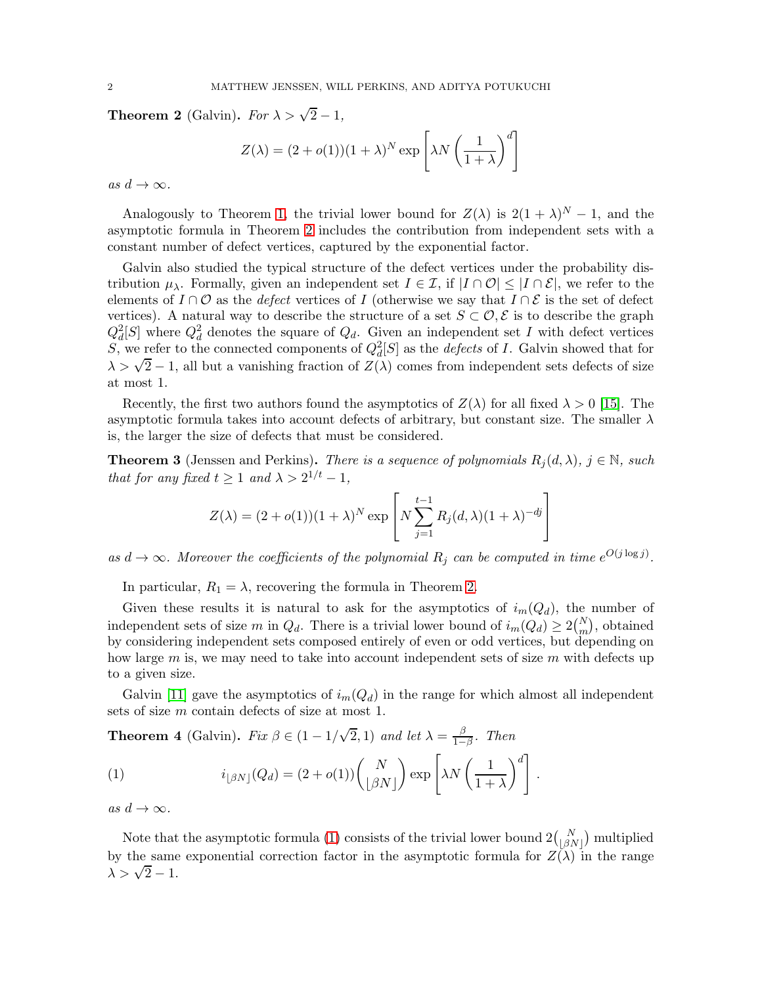<span id="page-2-0"></span>**Theorem 2** (Galvin). For  $\lambda > \sqrt{2} - 1$ ,

$$
Z(\lambda) = (2 + o(1))(1 + \lambda)^N \exp\left[\lambda N \left(\frac{1}{1 + \lambda}\right)^d\right]
$$

as  $d \to \infty$ .

Analogously to Theorem [1,](#page-1-0) the trivial lower bound for  $Z(\lambda)$  is  $2(1 + \lambda)^N - 1$ , and the asymptotic formula in Theorem [2](#page-2-0) includes the contribution from independent sets with a constant number of defect vertices, captured by the exponential factor.

Galvin also studied the typical structure of the defect vertices under the probability distribution  $\mu_{\lambda}$ . Formally, given an independent set  $I \in \mathcal{I}$ , if  $|I \cap \mathcal{O}| \leq |I \cap \mathcal{E}|$ , we refer to the elements of  $I \cap \mathcal{O}$  as the *defect* vertices of I (otherwise we say that  $I \cap \mathcal{E}$  is the set of defect vertices). A natural way to describe the structure of a set  $S \subset \mathcal{O}, \mathcal{E}$  is to describe the graph  $Q_d^2[S]$  where  $Q_d^2$  denotes the square of  $Q_d$ . Given an independent set I with defect vertices S, we refer to the connected components of  $Q_d^2[S]$  as the *defects* of I. Galvin showed that for  $\lambda > \sqrt{2} - 1$ , all but a vanishing fraction of  $Z(\lambda)$  comes from independent sets defects of size at most 1.

Recently, the first two authors found the asymptotics of  $Z(\lambda)$  for all fixed  $\lambda > 0$  [\[15\]](#page-19-2). The asymptotic formula takes into account defects of arbitrary, but constant size. The smaller  $\lambda$ is, the larger the size of defects that must be considered.

<span id="page-2-2"></span>**Theorem 3** (Jenssen and Perkins). There is a sequence of polynomials  $R_i(d, \lambda)$ ,  $j \in \mathbb{N}$ , such that for any fixed  $t \geq 1$  and  $\lambda > 2^{1/t} - 1$ ,

$$
Z(\lambda) = (2 + o(1))(1 + \lambda)^N \exp\left[N\sum_{j=1}^{t-1} R_j(d, \lambda)(1 + \lambda)^{-dj}\right]
$$

as  $d \to \infty$ . Moreover the coefficients of the polynomial  $R_j$  can be computed in time  $e^{O(j \log j)}$ .

In particular,  $R_1 = \lambda$ , recovering the formula in Theorem [2.](#page-2-0)

Given these results it is natural to ask for the asymptotics of  $i_m(Q_d)$ , the number of independent sets of size m in  $Q_d$ . There is a trivial lower bound of  $i_m(Q_d) \geq 2{N \choose m}$ , obtained by considering independent sets composed entirely of even or odd vertices, but depending on how large m is, we may need to take into account independent sets of size m with defects up to a given size.

Galvin [\[11\]](#page-19-3) gave the asymptotics of  $i_m(Q_d)$  in the range for which almost all independent sets of size m contain defects of size at most 1.

<span id="page-2-3"></span>**Theorem 4** (Galvin). Fix  $\beta \in (1 - 1/\sqrt{2}, 1)$  and let  $\lambda = \frac{\beta}{1 - 1}$  $rac{\beta}{1-\beta}$ . Then

<span id="page-2-1"></span>(1) 
$$
i_{\lfloor \beta N \rfloor}(Q_d) = (2 + o(1)) \binom{N}{\lfloor \beta N \rfloor} \exp \left[ \lambda N \left( \frac{1}{1 + \lambda} \right)^d \right].
$$

as  $d \to \infty$ .

Note that the asymptotic formula [\(1\)](#page-2-1) consists of the trivial lower bound  $2\binom{N}{\lfloor \beta N \rfloor}$  multiplied by the same exponential correction factor in the asymptotic formula for  $Z(\lambda)$  in the range  $\lambda > \sqrt{2} - 1.$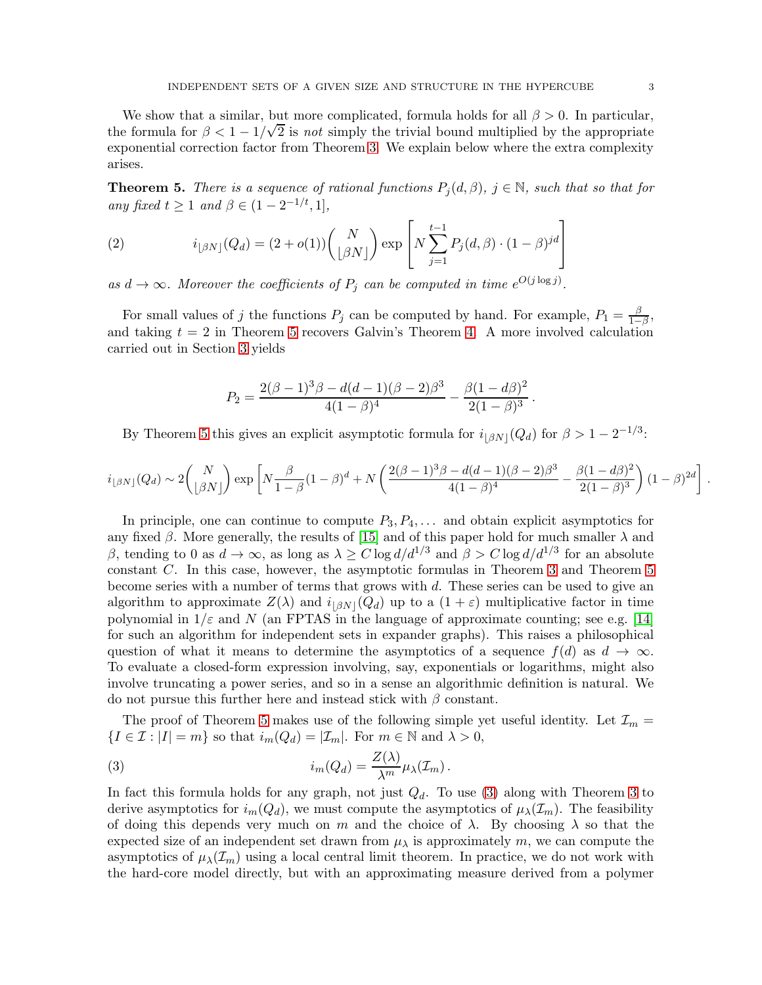We show that a similar, but more complicated, formula holds for all  $\beta > 0$ . In particular, the formula for  $\beta < 1 - 1/\sqrt{2}$  is not simply the trivial bound multiplied by the appropriate exponential correction factor from Theorem [3.](#page-2-2) We explain below where the extra complexity arises.

<span id="page-3-0"></span>**Theorem 5.** There is a sequence of rational functions  $P_i(d, \beta)$ ,  $j \in \mathbb{N}$ , such that so that for any fixed  $t \geq 1$  and  $\beta \in (1 - 2^{-1/t}, 1],$ 

(2) 
$$
i_{\lfloor \beta N \rfloor}(Q_d) = (2 + o(1)) \binom{N}{\lfloor \beta N \rfloor} \exp \left[ N \sum_{j=1}^{t-1} P_j(d, \beta) \cdot (1 - \beta)^{jd} \right]
$$

as  $d \to \infty$ . Moreover the coefficients of  $P_j$  can be computed in time  $e^{O(j \log j)}$ .

For small values of j the functions  $P_j$  can be computed by hand. For example,  $P_1 = \frac{\beta}{1-\beta}$  $\frac{\beta}{1-\beta}$ , and taking  $t = 2$  in Theorem [5](#page-3-0) recovers Galvin's Theorem [4.](#page-2-3) A more involved calculation carried out in Section [3](#page-10-0) yields

$$
P_2 = \frac{2(\beta - 1)^3 \beta - d(d - 1)(\beta - 2)\beta^3}{4(1 - \beta)^4} - \frac{\beta(1 - d\beta)^2}{2(1 - \beta)^3}.
$$

By Theorem [5](#page-3-0) this gives an explicit asymptotic formula for  $i_{\lfloor \beta N \rfloor}(Q_d)$  for  $\beta > 1 - 2^{-1/3}$ :

$$
i_{\lfloor\beta N\rfloor}(Q_d)\sim 2\binom{N}{\lfloor\beta N\rfloor}\exp\left[N\frac{\beta}{1-\beta}(1-\beta)^d+N\left(\frac{2(\beta-1)^3\beta-d(d-1)(\beta-2)\beta^3}{4(1-\beta)^4}-\frac{\beta(1-d\beta)^2}{2(1-\beta)^3}\right)(1-\beta)^{2d}\right].
$$

In principle, one can continue to compute  $P_3, P_4, \ldots$  and obtain explicit asymptotics for any fixed  $\beta$ . More generally, the results of [\[15\]](#page-19-2) and of this paper hold for much smaller  $\lambda$  and β, tending to 0 as  $d \to \infty$ , as long as  $\lambda \ge C \log d/d^{1/3}$  and  $\beta > C \log d/d^{1/3}$  for an absolute constant C. In this case, however, the asymptotic formulas in Theorem [3](#page-2-2) and Theorem [5](#page-3-0) become series with a number of terms that grows with d. These series can be used to give an algorithm to approximate  $Z(\lambda)$  and  $i_{\lfloor \beta N \rfloor}(Q_d)$  up to a  $(1+\varepsilon)$  multiplicative factor in time polynomial in  $1/\varepsilon$  and N (an FPTAS in the language of approximate counting; see e.g. [\[14\]](#page-19-4) for such an algorithm for independent sets in expander graphs). This raises a philosophical question of what it means to determine the asymptotics of a sequence  $f(d)$  as  $d \rightarrow \infty$ . To evaluate a closed-form expression involving, say, exponentials or logarithms, might also involve truncating a power series, and so in a sense an algorithmic definition is natural. We do not pursue this further here and instead stick with  $\beta$  constant.

The proof of Theorem [5](#page-3-0) makes use of the following simple yet useful identity. Let  $\mathcal{I}_m =$  ${I \in \mathcal{I} : |I| = m}$  so that  $i_m(Q_d) = |\mathcal{I}_m|$ . For  $m \in \mathbb{N}$  and  $\lambda > 0$ ,

<span id="page-3-1"></span>(3) 
$$
i_m(Q_d) = \frac{Z(\lambda)}{\lambda^m} \mu_\lambda(\mathcal{I}_m).
$$

In fact this formula holds for any graph, not just  $Q_d$ . To use [\(3\)](#page-3-1) along with Theorem [3](#page-2-2) to derive asymptotics for  $i_m(Q_d)$ , we must compute the asymptotics of  $\mu_\lambda(\mathcal{I}_m)$ . The feasibility of doing this depends very much on m and the choice of  $\lambda$ . By choosing  $\lambda$  so that the expected size of an independent set drawn from  $\mu_{\lambda}$  is approximately m, we can compute the asymptotics of  $\mu_{\lambda}(\mathcal{I}_m)$  using a local central limit theorem. In practice, we do not work with the hard-core model directly, but with an approximating measure derived from a polymer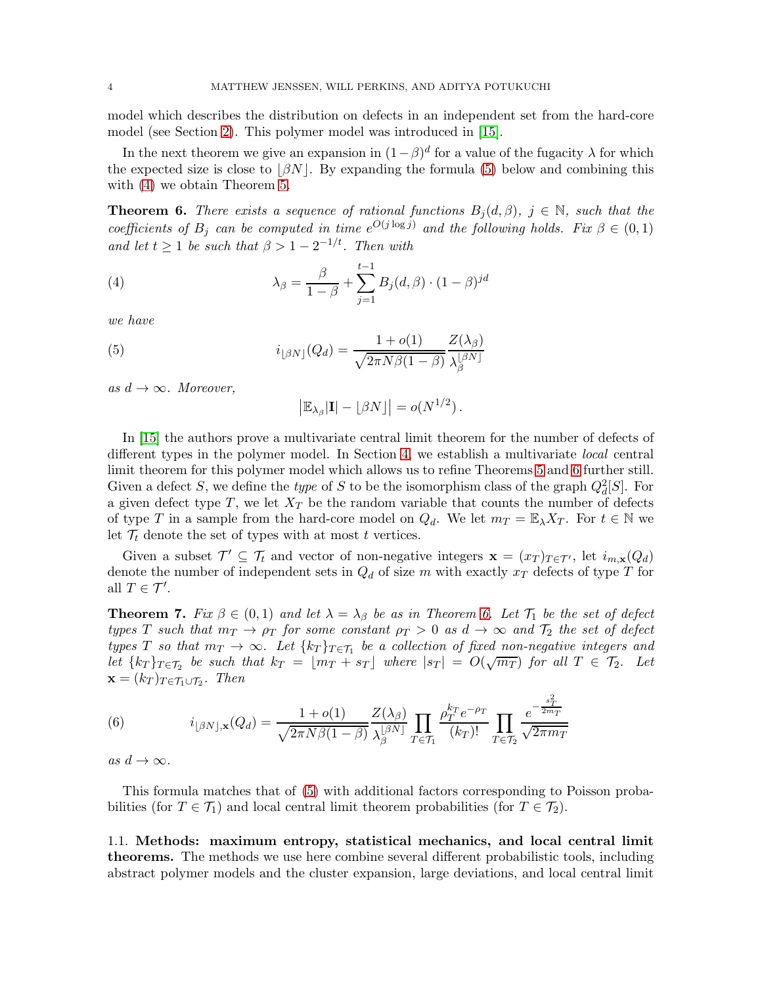model which describes the distribution on defects in an independent set from the hard-core model (see Section [2\)](#page-5-0). This polymer model was introduced in [\[15\]](#page-19-2).

In the next theorem we give an expansion in  $(1 - \beta)^d$  for a value of the fugacity  $\lambda$  for which the expected size is close to  $|\beta N|$ . By expanding the formula [\(5\)](#page-4-0) below and combining this with [\(4\)](#page-4-1) we obtain Theorem [5.](#page-3-0)

<span id="page-4-2"></span>**Theorem 6.** There exists a sequence of rational functions  $B_i(d, \beta)$ ,  $j \in \mathbb{N}$ , such that the coefficients of  $B_j$  can be computed in time  $e^{O(j \log j)}$  and the following holds. Fix  $\beta \in (0,1)$ and let  $t \geq 1$  be such that  $\beta > 1 - 2^{-1/t}$ . Then with

<span id="page-4-1"></span>(4) 
$$
\lambda_{\beta} = \frac{\beta}{1-\beta} + \sum_{j=1}^{t-1} B_j(d, \beta) \cdot (1-\beta)^{jd}
$$

we have

<span id="page-4-0"></span>(5) 
$$
i_{\lfloor \beta N \rfloor}(Q_d) = \frac{1 + o(1)}{\sqrt{2\pi N\beta(1-\beta)}} \frac{Z(\lambda_\beta)}{\lambda_\beta^{\lfloor \beta N \rfloor}}
$$

as  $d \rightarrow \infty$ . Moreover,

$$
\left|\mathbb{E}_{\lambda_{\beta}}|\mathbf{I}| - \lfloor \beta N \rfloor\right| = o(N^{1/2}).
$$

In [\[15\]](#page-19-2) the authors prove a multivariate central limit theorem for the number of defects of different types in the polymer model. In Section [4,](#page-15-0) we establish a multivariate local central limit theorem for this polymer model which allows us to refine Theorems [5](#page-3-0) and [6](#page-4-2) further still. Given a defect S, we define the *type* of S to be the isomorphism class of the graph  $Q_d^2[S]$ . For a given defect type  $T$ , we let  $X_T$  be the random variable that counts the number of defects of type T in a sample from the hard-core model on  $Q_d$ . We let  $m_T = \mathbb{E}_{\lambda} X_T$ . For  $t \in \mathbb{N}$  we let  $\mathcal{T}_t$  denote the set of types with at most t vertices.

Given a subset  $\mathcal{T}' \subseteq \mathcal{T}_t$  and vector of non-negative integers  $\mathbf{x} = (x_T)_{T \in \mathcal{T}'}$ , let  $i_{m,\mathbf{x}}(Q_d)$ denote the number of independent sets in  $Q_d$  of size m with exactly  $x_T$  defects of type T for all  $T \in \mathcal{T}'$ .

<span id="page-4-3"></span>**Theorem 7.** Fix  $\beta \in (0,1)$  and let  $\lambda = \lambda_{\beta}$  be as in Theorem [6.](#page-4-2) Let  $\mathcal{T}_1$  be the set of defect types T such that  $m_T \to \rho_T$  for some constant  $\rho_T > 0$  as  $d \to \infty$  and  $\mathcal{T}_2$  the set of defect types T so that  $m_T \to \infty$ . Let  $\{k_T\}_{T \in \mathcal{T}_1}$  be a collection of fixed non-negative integers and let  ${k_T}_{T \in \mathcal{T}_2}$  be such that  $k_T = \lfloor m_T + s_T \rfloor$  where  $|s_T| = O(\sqrt{m_T})$  for all  $T \in \mathcal{T}_2$ . Let  $\mathbf{x} = (k_T)_{T \in \mathcal{T}_1 \cup \mathcal{T}_2}$ . Then

(6) 
$$
i_{\lfloor \beta N \rfloor, \mathbf{x}}(Q_d) = \frac{1 + o(1)}{\sqrt{2\pi N\beta(1-\beta)}} \frac{Z(\lambda_\beta)}{\lambda_\beta^{\lfloor \beta N \rfloor}} \prod_{T \in \mathcal{T}_1} \frac{\rho_T^{k_T} e^{-\rho_T}}{(k_T)!} \prod_{T \in \mathcal{T}_2} \frac{e^{-\frac{s_T^2}{2m_T}}}{\sqrt{2\pi m_T}}
$$

as  $d \to \infty$ .

This formula matches that of [\(5\)](#page-4-0) with additional factors corresponding to Poisson probabilities (for  $T \in \mathcal{T}_1$ ) and local central limit theorem probabilities (for  $T \in \mathcal{T}_2$ ).

1.1. Methods: maximum entropy, statistical mechanics, and local central limit theorems. The methods we use here combine several different probabilistic tools, including abstract polymer models and the cluster expansion, large deviations, and local central limit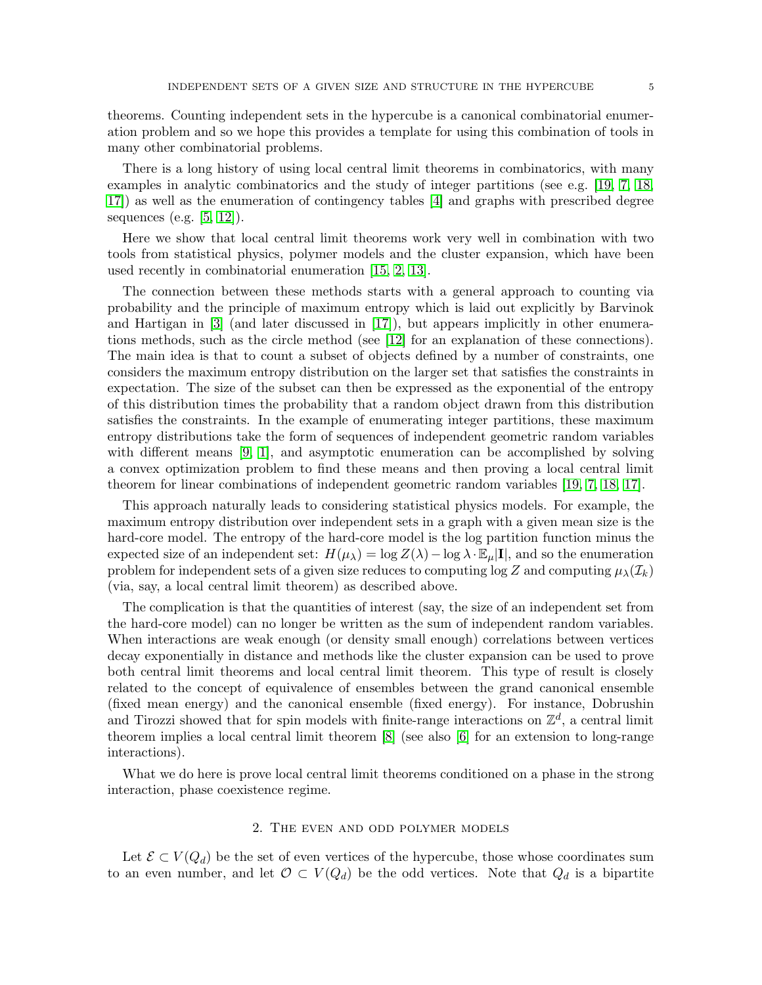theorems. Counting independent sets in the hypercube is a canonical combinatorial enumeration problem and so we hope this provides a template for using this combination of tools in many other combinatorial problems.

There is a long history of using local central limit theorems in combinatorics, with many examples in analytic combinatorics and the study of integer partitions (see e.g. [\[19,](#page-19-5) [7,](#page-19-6) [18,](#page-19-7) [17\]](#page-19-8)) as well as the enumeration of contingency tables [\[4\]](#page-19-9) and graphs with prescribed degree sequences (e.g.  $[5, 12]$  $[5, 12]$ ).

Here we show that local central limit theorems work very well in combination with two tools from statistical physics, polymer models and the cluster expansion, which have been used recently in combinatorial enumeration [\[15,](#page-19-2) [2,](#page-19-12) [13\]](#page-19-13).

The connection between these methods starts with a general approach to counting via probability and the principle of maximum entropy which is laid out explicitly by Barvinok and Hartigan in [\[3\]](#page-19-14) (and later discussed in [\[17\]](#page-19-8)), but appears implicitly in other enumerations methods, such as the circle method (see [\[12\]](#page-19-11) for an explanation of these connections). The main idea is that to count a subset of objects defined by a number of constraints, one considers the maximum entropy distribution on the larger set that satisfies the constraints in expectation. The size of the subset can then be expressed as the exponential of the entropy of this distribution times the probability that a random object drawn from this distribution satisfies the constraints. In the example of enumerating integer partitions, these maximum entropy distributions take the form of sequences of independent geometric random variables with different means [\[9,](#page-19-15) [1\]](#page-19-16), and asymptotic enumeration can be accomplished by solving a convex optimization problem to find these means and then proving a local central limit theorem for linear combinations of independent geometric random variables [\[19,](#page-19-5) [7,](#page-19-6) [18,](#page-19-7) [17\]](#page-19-8).

This approach naturally leads to considering statistical physics models. For example, the maximum entropy distribution over independent sets in a graph with a given mean size is the hard-core model. The entropy of the hard-core model is the log partition function minus the expected size of an independent set:  $H(\mu_{\lambda}) = \log Z(\lambda) - \log \lambda \cdot \mathbb{E}_{\mu}[\mathbf{I}]$ , and so the enumeration problem for independent sets of a given size reduces to computing  $\log Z$  and computing  $\mu_\lambda(\mathcal{I}_k)$ (via, say, a local central limit theorem) as described above.

The complication is that the quantities of interest (say, the size of an independent set from the hard-core model) can no longer be written as the sum of independent random variables. When interactions are weak enough (or density small enough) correlations between vertices decay exponentially in distance and methods like the cluster expansion can be used to prove both central limit theorems and local central limit theorem. This type of result is closely related to the concept of equivalence of ensembles between the grand canonical ensemble (fixed mean energy) and the canonical ensemble (fixed energy). For instance, Dobrushin and Tirozzi showed that for spin models with finite-range interactions on  $\mathbb{Z}^d$ , a central limit theorem implies a local central limit theorem [\[8\]](#page-19-17) (see also [\[6\]](#page-19-18) for an extension to long-range interactions).

<span id="page-5-0"></span>What we do here is prove local central limit theorems conditioned on a phase in the strong interaction, phase coexistence regime.

#### 2. The even and odd polymer models

Let  $\mathcal{E} \subset V(Q_d)$  be the set of even vertices of the hypercube, those whose coordinates sum to an even number, and let  $\mathcal{O} \subset V(Q_d)$  be the odd vertices. Note that  $Q_d$  is a bipartite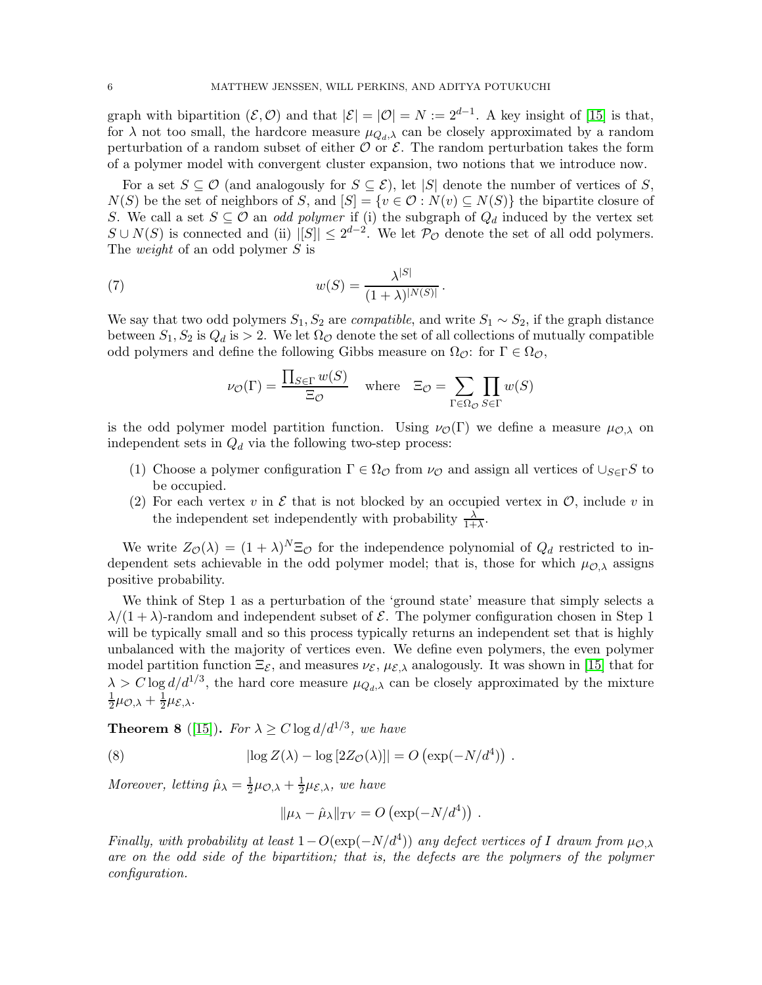graph with bipartition  $(\mathcal{E}, \mathcal{O})$  and that  $|\mathcal{E}| = |\mathcal{O}| = N := 2^{d-1}$ . A key insight of [\[15\]](#page-19-2) is that, for  $\lambda$  not too small, the hardcore measure  $\mu_{Q_d,\lambda}$  can be closely approximated by a random perturbation of a random subset of either  $\mathcal O$  or  $\mathcal E$ . The random perturbation takes the form of a polymer model with convergent cluster expansion, two notions that we introduce now.

For a set  $S \subseteq \mathcal{O}$  (and analogously for  $S \subseteq \mathcal{E}$ ), let |S| denote the number of vertices of S,  $N(S)$  be the set of neighbors of S, and  $[S] = \{v \in \mathcal{O} : N(v) \subseteq N(S)\}\$ the bipartite closure of S. We call a set  $S \subseteq \mathcal{O}$  an *odd polymer* if (i) the subgraph of  $Q_d$  induced by the vertex set  $S \cup N(S)$  is connected and (ii)  $|[S]| \leq 2^{d-2}$ . We let  $\mathcal{P}_{\mathcal{O}}$  denote the set of all odd polymers. The *weight* of an odd polymer S is

<span id="page-6-1"></span>(7) 
$$
w(S) = \frac{\lambda^{|S|}}{(1+\lambda)^{|N(S)|}}.
$$

We say that two odd polymers  $S_1, S_2$  are *compatible*, and write  $S_1 \sim S_2$ , if the graph distance between  $S_1, S_2$  is  $Q_d$  is  $> 2$ . We let  $\Omega_{\mathcal{O}}$  denote the set of all collections of mutually compatible odd polymers and define the following Gibbs measure on  $\Omega_{\mathcal{O}}$ : for  $\Gamma \in \Omega_{\mathcal{O}}$ ,

$$
\nu_{\mathcal{O}}(\Gamma) = \frac{\prod_{S \in \Gamma} w(S)}{\Xi_{\mathcal{O}}} \quad \text{where} \quad \Xi_{\mathcal{O}} = \sum_{\Gamma \in \Omega_{\mathcal{O}}} \prod_{S \in \Gamma} w(S)
$$

is the odd polymer model partition function. Using  $\nu_{\mathcal{O}}(\Gamma)$  we define a measure  $\mu_{\mathcal{O},\lambda}$  on independent sets in  $Q_d$  via the following two-step process:

- (1) Choose a polymer configuration  $\Gamma \in \Omega_{\mathcal{O}}$  from  $\nu_{\mathcal{O}}$  and assign all vertices of  $\cup_{S \in \Gamma} S$  to be occupied.
- (2) For each vertex v in  $\mathcal E$  that is not blocked by an occupied vertex in  $\mathcal O$ , include v in the independent set independently with probability  $\frac{\lambda}{1+\lambda}$ .

We write  $Z_{\mathcal{O}}(\lambda) = (1 + \lambda)^N \Xi_{\mathcal{O}}$  for the independence polynomial of  $Q_d$  restricted to independent sets achievable in the odd polymer model; that is, those for which  $\mu_{\mathcal{O},\lambda}$  assigns positive probability.

We think of Step 1 as a perturbation of the 'ground state' measure that simply selects a  $\lambda/(1+\lambda)$ -random and independent subset of  $\mathcal E$ . The polymer configuration chosen in Step 1 will be typically small and so this process typically returns an independent set that is highly unbalanced with the majority of vertices even. We define even polymers, the even polymer model partition function  $\Xi_{\mathcal{E}}$ , and measures  $\nu_{\mathcal{E}}, \mu_{\mathcal{E},\lambda}$  analogously. It was shown in [\[15\]](#page-19-2) that for  $\lambda > C \log d/d^{1/3}$ , the hard core measure  $\mu_{Q_d,\lambda}$  can be closely approximated by the mixture 1  $\frac{1}{2}\mu_{\mathcal{O},\lambda}+\frac{1}{2}$  $rac{1}{2}\mu_{\mathcal{E},\lambda}$ .

<span id="page-6-0"></span>**Theorem 8** ([\[15\]](#page-19-2)). For  $\lambda \ge C \log d/d^{1/3}$ , we have

(8) 
$$
|\log Z(\lambda) - \log [2Z_{\mathcal{O}}(\lambda)]| = O\left(\exp(-N/d^4)\right).
$$

Moreover, letting  $\hat{\mu}_{\lambda} = \frac{1}{2}$  $\frac{1}{2}\mu_{\mathcal{O},\lambda}+\frac{1}{2}$  $\frac{1}{2}\mu_{\mathcal{E},\lambda}$ , we have

$$
\|\mu_{\lambda}-\hat{\mu}_{\lambda}\|_{TV}=O\left(\exp(-N/d^4)\right).
$$

Finally, with probability at least  $1-O(\exp(-N/d^4))$  any defect vertices of I drawn from  $\mu_{\mathcal{O},\lambda}$ are on the odd side of the bipartition; that is, the defects are the polymers of the polymer configuration.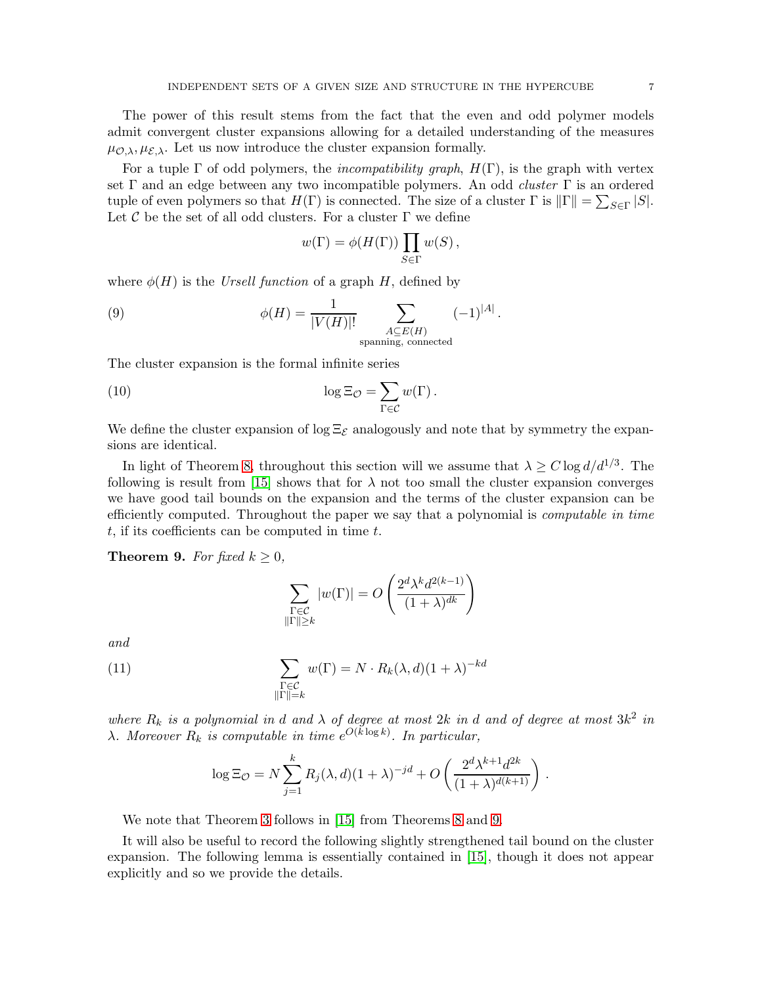The power of this result stems from the fact that the even and odd polymer models admit convergent cluster expansions allowing for a detailed understanding of the measures  $\mu_{\mathcal{O},\lambda}, \mu_{\mathcal{E},\lambda}$ . Let us now introduce the cluster expansion formally.

For a tuple  $\Gamma$  of odd polymers, the *incompatibility graph*,  $H(\Gamma)$ , is the graph with vertex set  $\Gamma$  and an edge between any two incompatible polymers. An odd *cluster*  $\Gamma$  is an ordered tuple of even polymers so that  $H(\Gamma)$  is connected. The size of a cluster  $\Gamma$  is  $\|\Gamma\| = \sum_{S \in \Gamma} |S|$ . Let C be the set of all odd clusters. For a cluster  $\Gamma$  we define

$$
w(\Gamma) = \phi(H(\Gamma)) \prod_{S \in \Gamma} w(S),
$$

where  $\phi(H)$  is the Ursell function of a graph H, defined by

(9) 
$$
\phi(H) = \frac{1}{|V(H)|!} \sum_{\substack{A \subseteq E(H) \\ \text{spanning, connected}}} (-1)^{|A|}.
$$

The cluster expansion is the formal infinite series

<span id="page-7-1"></span>(10) 
$$
\log \Xi_{\mathcal{O}} = \sum_{\Gamma \in \mathcal{C}} w(\Gamma).
$$

We define the cluster expansion of  $\log \Xi_{\mathcal{E}}$  analogously and note that by symmetry the expansions are identical.

In light of Theorem [8,](#page-6-0) throughout this section will we assume that  $\lambda \geq C \log d/d^{1/3}$ . The following is result from [\[15\]](#page-19-2) shows that for  $\lambda$  not too small the cluster expansion converges we have good tail bounds on the expansion and the terms of the cluster expansion can be efficiently computed. Throughout the paper we say that a polynomial is computable in time  $t$ , if its coefficients can be computed in time  $t$ .

<span id="page-7-0"></span>**Theorem 9.** For fixed  $k \geq 0$ ,

$$
\sum_{\substack{\Gamma \in \mathcal{C} \\ \|\Gamma\| \ge k}} |w(\Gamma)| = O\left(\frac{2^d \lambda^k d^{2(k-1)}}{(1+\lambda)^{dk}}\right)
$$

and

<span id="page-7-2"></span>(11) 
$$
\sum_{\substack{\Gamma \in \mathcal{C} \\ \|\Gamma\| = k}} w(\Gamma) = N \cdot R_k(\lambda, d) (1 + \lambda)^{-kd}
$$

where  $R_k$  is a polynomial in d and  $\lambda$  of degree at most 2k in d and of degree at most  $3k^2$  in  $\lambda$ . Moreover  $R_k$  is computable in time  $e^{O(k \log k)}$ . In particular,

$$
\log \Xi_{\mathcal{O}} = N \sum_{j=1}^{k} R_j(\lambda, d) (1 + \lambda)^{-jd} + O\left(\frac{2^d \lambda^{k+1} d^{2k}}{(1 + \lambda)^{d(k+1)}}\right).
$$

We note that Theorem [3](#page-2-2) follows in [\[15\]](#page-19-2) from Theorems [8](#page-6-0) and [9.](#page-7-0)

It will also be useful to record the following slightly strengthened tail bound on the cluster expansion. The following lemma is essentially contained in [\[15\]](#page-19-2), though it does not appear explicitly and so we provide the details.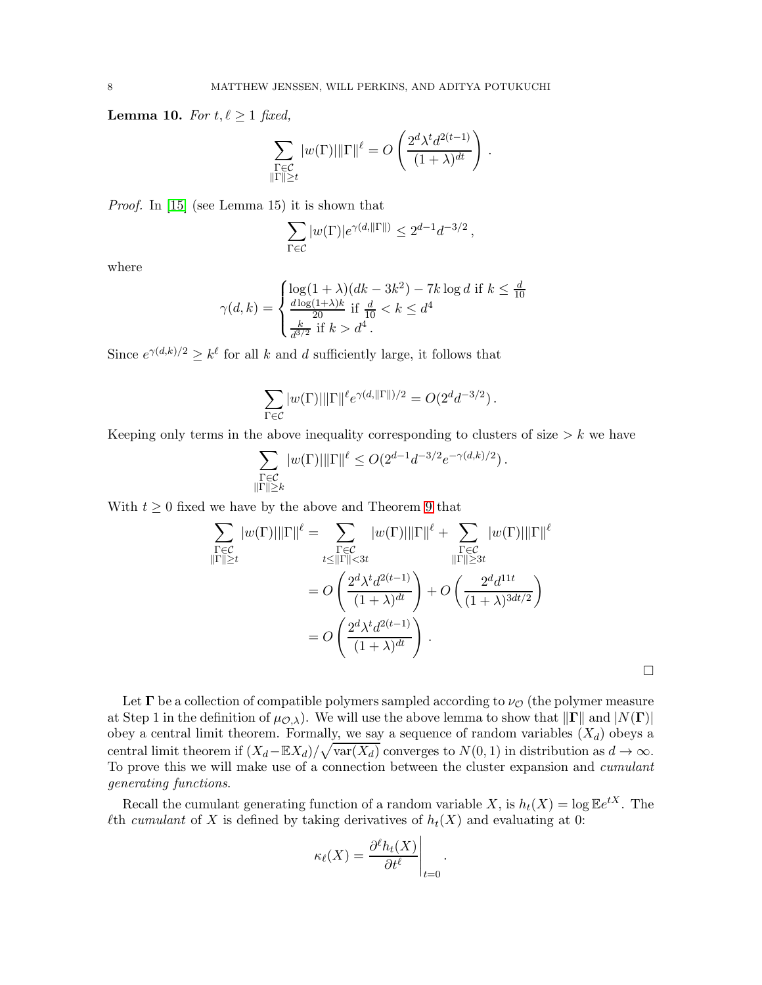<span id="page-8-0"></span>Lemma 10. For  $t, \ell \geq 1$  fixed,

$$
\sum_{\substack{\Gamma \in \mathcal{C} \\ \|\Gamma\| \ge t}} |w(\Gamma)| \|\Gamma\|^{\ell} = O\left(\frac{2^d \lambda^t d^{2(t-1)}}{(1+\lambda)^{dt}}\right).
$$

Proof. In [\[15\]](#page-19-2) (see Lemma 15) it is shown that

$$
\sum_{\Gamma \in \mathcal{C}} |w(\Gamma)| e^{\gamma(d, \|\Gamma\|)} \le 2^{d-1} d^{-3/2},
$$

where

$$
\gamma(d,k) = \begin{cases} \log(1+\lambda)(dk - 3k^2) - 7k \log d & \text{if } k \le \frac{d}{10} \\ \frac{d \log(1+\lambda)k}{20} & \text{if } \frac{d}{10} < k \le d^4 \\ \frac{k}{d^{3/2}} & \text{if } k > d^4 \end{cases}
$$

Since  $e^{\gamma(d,k)/2} \geq k^{\ell}$  for all k and d sufficiently large, it follows that

$$
\sum_{\Gamma \in \mathcal{C}} |w(\Gamma)| \|\Gamma\|^{\ell} e^{\gamma(d, \|\Gamma\|)/2} = O(2^d d^{-3/2}).
$$

Keeping only terms in the above inequality corresponding to clusters of size  $\geq k$  we have

$$
\sum_{\substack{\Gamma \in \mathcal{C} \\ \|\Gamma\| \ge k}} |w(\Gamma)| \|\Gamma\|^{\ell} \le O(2^{d-1} d^{-3/2} e^{-\gamma(d,k)/2}).
$$

With  $t \geq 0$  fixed we have by the above and Theorem [9](#page-7-0) that

$$
\sum_{\substack{\Gamma \in \mathcal{C} \\ \|\Gamma\| \ge t}} |w(\Gamma)| \|\Gamma\|^{\ell} = \sum_{\substack{\Gamma \in \mathcal{C} \\ t \le \|\Gamma\| < 3t}} |w(\Gamma)| \|\Gamma\|^{\ell} + \sum_{\substack{\Gamma \in \mathcal{C} \\ \|\Gamma\| \ge 3t}} |w(\Gamma)| \|\Gamma\|^{\ell}
$$
\n
$$
= O\left(\frac{2^d \lambda^t d^{2(t-1)}}{(1+\lambda)^{dt}}\right) + O\left(\frac{2^d d^{11t}}{(1+\lambda)^{3dt/2}}\right)
$$
\n
$$
= O\left(\frac{2^d \lambda^t d^{2(t-1)}}{(1+\lambda)^{dt}}\right).
$$

 $\Box$ 

Let  $\Gamma$  be a collection of compatible polymers sampled according to  $\nu_{\mathcal{O}}$  (the polymer measure at Step 1 in the definition of  $\mu_{\mathcal{O},\lambda}$ . We will use the above lemma to show that  $\|\Gamma\|$  and  $|N(\Gamma)|$ obey a central limit theorem. Formally, we say a sequence of random variables  $(X_d)$  obeys a central limit theorem if  $(X_d - \mathbb{E}X_d)/\sqrt{\text{var}(X_d)}$  converges to  $N(0, 1)$  in distribution as  $d \to \infty$ . To prove this we will make use of a connection between the cluster expansion and cumulant generating functions.

Recall the cumulant generating function of a random variable X, is  $h_t(X) = \log \mathbb{E}e^{tX}$ . The  $\ell$ th *cumulant* of X is defined by taking derivatives of  $h_t(X)$  and evaluating at 0:

$$
\kappa_{\ell}(X) = \frac{\partial^{\ell} h_t(X)}{\partial t^{\ell}}\Bigg|_{t=0}
$$

.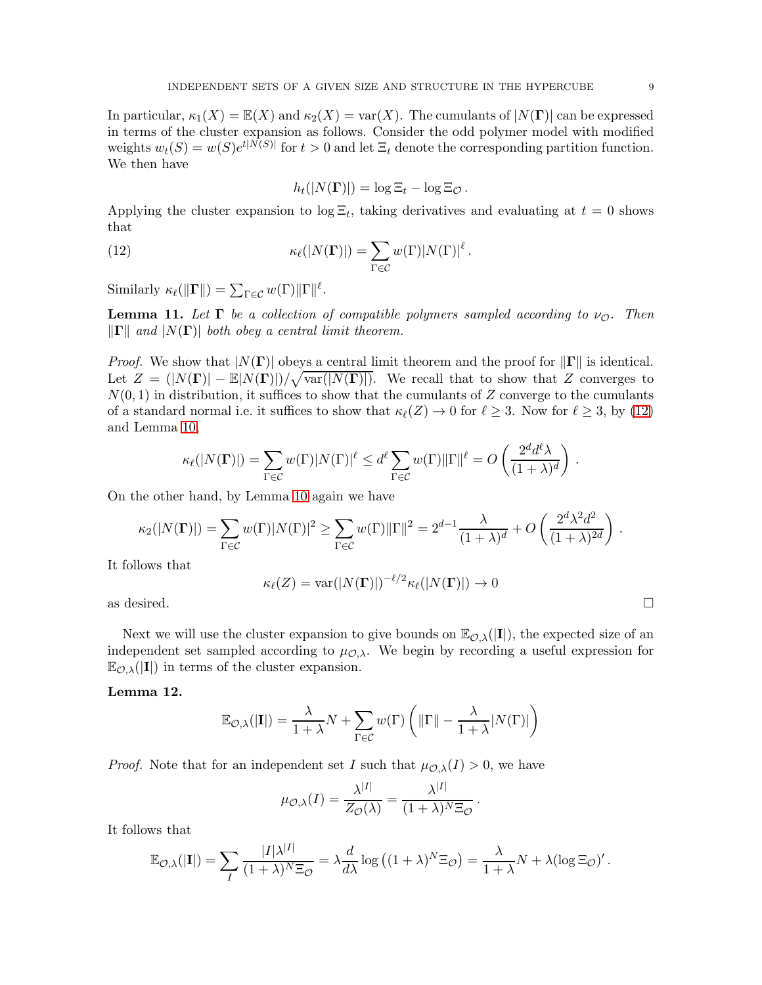In particular,  $\kappa_1(X) = \mathbb{E}(X)$  and  $\kappa_2(X) = \text{var}(X)$ . The cumulants of  $|N(\Gamma)|$  can be expressed in terms of the cluster expansion as follows. Consider the odd polymer model with modified weights  $w_t(S) = w(S)e^{t|N(S)|}$  for  $t > 0$  and let  $\Xi_t$  denote the corresponding partition function. We then have

$$
h_t(|N(\mathbf{\Gamma})|) = \log \Xi_t - \log \Xi_{\mathcal{O}}.
$$

Applying the cluster expansion to  $\log \Xi_t$ , taking derivatives and evaluating at  $t=0$  shows that

<span id="page-9-0"></span>(12) 
$$
\kappa_{\ell}(|N(\mathbf{\Gamma})|) = \sum_{\Gamma \in \mathcal{C}} w(\Gamma) |N(\Gamma)|^{\ell}.
$$

Similarly  $\kappa_{\ell}(\Vert\mathbf{\Gamma}\Vert) = \sum_{\Gamma \in \mathcal{C}} w(\Gamma) \Vert\Gamma\Vert^{\ell}$ .

<span id="page-9-2"></span>**Lemma 11.** Let  $\Gamma$  be a collection of compatible polymers sampled according to  $\nu_{\mathcal{O}}$ . Then  $\|\mathbf{\Gamma}\|$  and  $|N(\mathbf{\Gamma})|$  both obey a central limit theorem.

*Proof.* We show that  $|N(\mathbf{\Gamma})|$  obeys a central limit theorem and the proof for  $\|\mathbf{\Gamma}\|$  is identical. Let  $Z = (N(\Gamma) - E[N(\Gamma)]) / \sqrt{\text{var}(|N(\Gamma)|)}$ . We recall that to show that Z converges to  $N(0, 1)$  in distribution, it suffices to show that the cumulants of Z converge to the cumulants of a standard normal i.e. it suffices to show that  $\kappa_{\ell}(Z) \to 0$  for  $\ell \geq 3$ . Now for  $\ell \geq 3$ , by [\(12\)](#page-9-0) and Lemma [10,](#page-8-0)

$$
\kappa_{\ell}(|N(\mathbf{\Gamma})|) = \sum_{\Gamma \in \mathcal{C}} w(\Gamma) |N(\Gamma)|^{\ell} \leq d^{\ell} \sum_{\Gamma \in \mathcal{C}} w(\Gamma) \|\Gamma\|^{\ell} = O\left(\frac{2^{d} d^{\ell} \lambda}{(1 + \lambda)^{d}}\right).
$$

On the other hand, by Lemma [10](#page-8-0) again we have

$$
\kappa_2(|N(\Gamma)|) = \sum_{\Gamma \in \mathcal{C}} w(\Gamma)|N(\Gamma)|^2 \ge \sum_{\Gamma \in \mathcal{C}} w(\Gamma) \|\Gamma\|^2 = 2^{d-1} \frac{\lambda}{(1+\lambda)^d} + O\left(\frac{2^d \lambda^2 d^2}{(1+\lambda)^{2d}}\right).
$$

It follows that

$$
\kappa_{\ell}(Z) = \text{var}(|N(\mathbf{\Gamma})|)^{-\ell/2} \kappa_{\ell}(|N(\mathbf{\Gamma})|) \to 0
$$
 as desired.

Next we will use the cluster expansion to give bounds on  $\mathbb{E}_{\mathcal{O},\lambda}(|\mathbf{I}|)$ , the expected size of an independent set sampled according to  $\mu_{\mathcal{O},\lambda}$ . We begin by recording a useful expression for  $\mathbb{E}_{\mathcal{O},\lambda}(|\mathbf{I}|)$  in terms of the cluster expansion.

#### <span id="page-9-1"></span>Lemma 12.

$$
\mathbb{E}_{\mathcal{O},\lambda}(|\mathbf{I}|) = \frac{\lambda}{1+\lambda}N + \sum_{\Gamma \in \mathcal{C}} w(\Gamma) \left( \|\Gamma\| - \frac{\lambda}{1+\lambda} |N(\Gamma)| \right)
$$

*Proof.* Note that for an independent set I such that  $\mu_{\mathcal{O},\lambda}(I) > 0$ , we have

$$
\mu_{\mathcal{O},\lambda}(I) = \frac{\lambda^{|I|}}{Z_{\mathcal{O}}(\lambda)} = \frac{\lambda^{|I|}}{(1+\lambda)^N \Xi_{\mathcal{O}}}.
$$

It follows that

$$
\mathbb{E}_{\mathcal{O},\lambda}(|\mathbf{I}|) = \sum_{I} \frac{|I|\lambda^{|I|}}{(1+\lambda)^N \Xi_{\mathcal{O}}} = \lambda \frac{d}{d\lambda} \log \left( (1+\lambda)^N \Xi_{\mathcal{O}} \right) = \frac{\lambda}{1+\lambda} N + \lambda (\log \Xi_{\mathcal{O}})'.
$$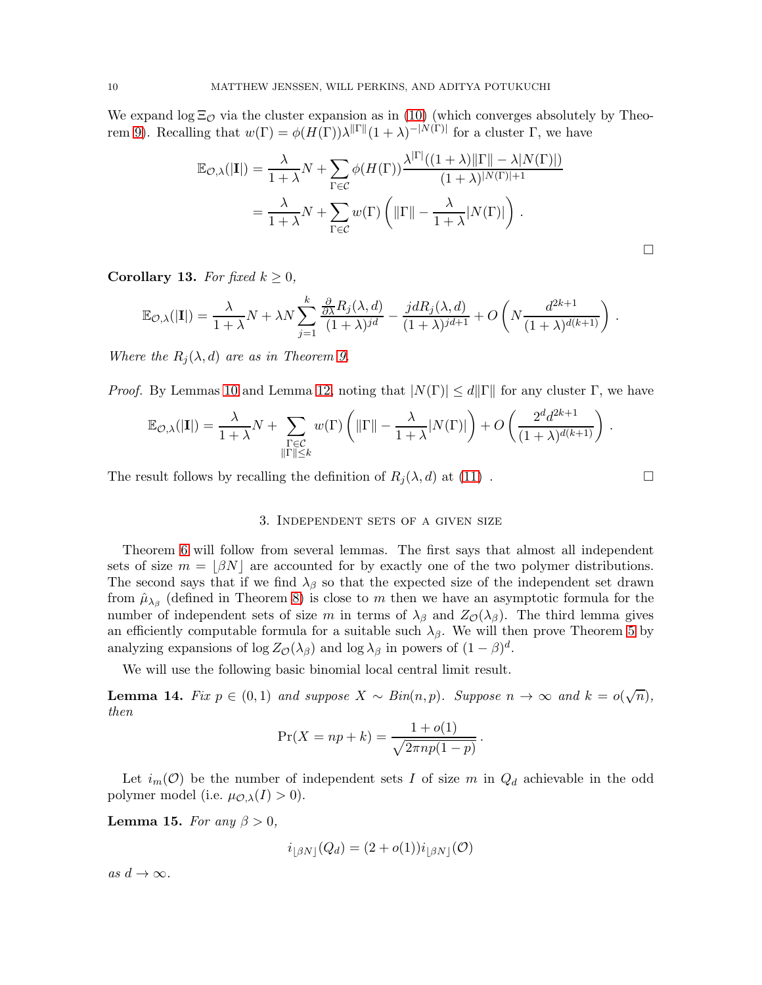We expand  $\log \Xi_{\mathcal{O}}$  via the cluster expansion as in [\(10\)](#page-7-1) (which converges absolutely by Theo-rem [9\)](#page-7-0). Recalling that  $w(\Gamma) = \phi(H(\Gamma))\lambda^{\|\Gamma\|}(1+\lambda)^{-|N(\Gamma)|}$  for a cluster Γ, we have

$$
\mathbb{E}_{\mathcal{O},\lambda}(|\mathbf{I}|) = \frac{\lambda}{1+\lambda} N + \sum_{\Gamma \in \mathcal{C}} \phi(H(\Gamma)) \frac{\lambda^{|\Gamma|}((1+\lambda)||\Gamma|| - \lambda|N(\Gamma)|)}{(1+\lambda)^{|N(\Gamma)|+1}}
$$
  
= 
$$
\frac{\lambda}{1+\lambda} N + \sum_{\Gamma \in \mathcal{C}} w(\Gamma) \left( ||\Gamma|| - \frac{\lambda}{1+\lambda}|N(\Gamma)| \right).
$$

<span id="page-10-3"></span>Corollary 13. For fixed  $k \geq 0$ ,

$$
\mathbb{E}_{\mathcal{O},\lambda}(|\mathbf{I}|) = \frac{\lambda}{1+\lambda}N + \lambda N \sum_{j=1}^{k} \frac{\frac{\partial}{\partial \lambda} R_j(\lambda,d)}{(1+\lambda)^{jd}} - \frac{j d R_j(\lambda,d)}{(1+\lambda)^{jd+1}} + O\left(N \frac{d^{2k+1}}{(1+\lambda)^{d(k+1)}}\right).
$$

Where the  $R_i(\lambda, d)$  are as in Theorem [9.](#page-7-0)

*Proof.* By Lemmas [10](#page-8-0) and Lemma [12,](#page-9-1) noting that  $|N(\Gamma)| \le d ||\Gamma||$  for any cluster  $\Gamma$ , we have

$$
\mathbb{E}_{\mathcal{O},\lambda}(|\mathbf{I}|) = \frac{\lambda}{1+\lambda}N + \sum_{\substack{\Gamma \in \mathcal{C} \\ \|\Gamma\| \leq k}} w(\Gamma) \left( \|\Gamma\| - \frac{\lambda}{1+\lambda} |N(\Gamma)| \right) + O\left(\frac{2^d d^{2k+1}}{(1+\lambda)^{d(k+1)}}\right).
$$

<span id="page-10-0"></span>The result follows by recalling the definition of  $R_i(\lambda, d)$  at [\(11\)](#page-7-2).

 $\Box$ 

#### 3. Independent sets of a given size

Theorem [6](#page-4-2) will follow from several lemmas. The first says that almost all independent sets of size  $m = |\beta N|$  are accounted for by exactly one of the two polymer distributions. The second says that if we find  $\lambda_{\beta}$  so that the expected size of the independent set drawn from  $\hat{\mu}_{\lambda_{\beta}}$  (defined in Theorem [8\)](#page-6-0) is close to m then we have an asymptotic formula for the number of independent sets of size m in terms of  $\lambda_{\beta}$  and  $Z_{\mathcal{O}}(\lambda_{\beta})$ . The third lemma gives an efficiently computable formula for a suitable such  $\lambda_{\beta}$ . We will then prove Theorem [5](#page-3-0) by analyzing expansions of  $\log Z_{\mathcal{O}}(\lambda_{\beta})$  and  $\log \lambda_{\beta}$  in powers of  $(1 - \beta)^d$ .

We will use the following basic binomial local central limit result.

<span id="page-10-1"></span>**Lemma 14.** Fix  $p \in (0,1)$  and suppose  $X \sim Bin(n,p)$ . Suppose  $n \to \infty$  and  $k = o(\sqrt{n})$ , then

$$
\Pr(X = np + k) = \frac{1 + o(1)}{\sqrt{2\pi np(1 - p)}}.
$$

Let  $i_m(\mathcal{O})$  be the number of independent sets I of size m in  $Q_d$  achievable in the odd polymer model (i.e.  $\mu_{\mathcal{O},\lambda}(I) > 0$ ).

<span id="page-10-2"></span>Lemma 15. For any  $\beta > 0$ ,

$$
i_{\lfloor \beta N \rfloor}(Q_d) = (2 + o(1))i_{\lfloor \beta N \rfloor}(\mathcal{O})
$$

as  $d \to \infty$ .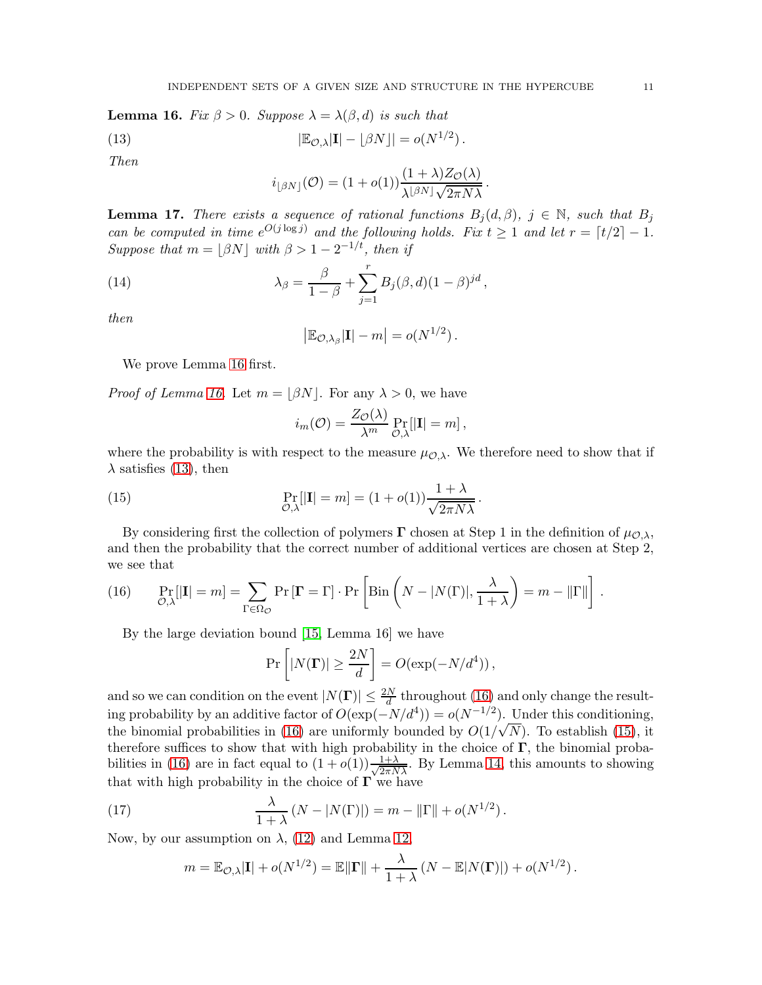<span id="page-11-0"></span>**Lemma 16.** Fix  $\beta > 0$ . Suppose  $\lambda = \lambda(\beta, d)$  is such that

(13) 
$$
|\mathbb{E}_{\mathcal{O},\lambda}|\mathbf{I}| - \lfloor \beta N \rfloor| = o(N^{1/2}).
$$

Then

<span id="page-11-1"></span>
$$
i_{\lfloor \beta N \rfloor}(\mathcal{O}) = (1 + o(1)) \frac{(1 + \lambda) Z_{\mathcal{O}}(\lambda)}{\lambda^{\lfloor \beta N \rfloor} \sqrt{2 \pi N \lambda}}
$$

.

<span id="page-11-5"></span>**Lemma 17.** There exists a sequence of rational functions  $B_i(d, \beta)$ ,  $j \in \mathbb{N}$ , such that  $B_i$ can be computed in time  $e^{O(j \log j)}$  and the following holds. Fix  $t \ge 1$  and let  $r = \lceil t/2 \rceil - 1$ . Suppose that  $m = \lfloor \beta N \rfloor$  with  $\beta > 1 - 2^{-1/t}$ , then if

(14) 
$$
\lambda_{\beta} = \frac{\beta}{1-\beta} + \sum_{j=1}^{r} B_j(\beta, d)(1-\beta)^{jd},
$$

then

$$
\left|\mathbb{E}_{\mathcal{O},\lambda_{\beta}}|\mathbf{I}| - m\right| = o(N^{1/2}).
$$

We prove Lemma [16](#page-11-0) first.

*Proof of Lemma [16.](#page-11-0)* Let  $m = |\beta N|$ . For any  $\lambda > 0$ , we have

<span id="page-11-3"></span>
$$
i_m(\mathcal{O}) = \frac{Z_{\mathcal{O}}(\lambda)}{\lambda^m} \Pr_{\mathcal{O},\lambda}[\vert \mathbf{I} \vert = m],
$$

where the probability is with respect to the measure  $\mu_{\mathcal{O},\lambda}$ . We therefore need to show that if  $\lambda$  satisfies [\(13\)](#page-11-1), then

(15) 
$$
\Pr_{\mathcal{O},\lambda}[\mathbf{I}] = m] = (1 + o(1)) \frac{1 + \lambda}{\sqrt{2\pi N\lambda}}.
$$

By considering first the collection of polymers  $\Gamma$  chosen at Step 1 in the definition of  $\mu_{\mathcal{O},\lambda}$ , and then the probability that the correct number of additional vertices are chosen at Step 2, we see that

<span id="page-11-2"></span>(16) 
$$
\Pr_{\mathcal{O},\lambda}[\mathbf{I}] = m] = \sum_{\Gamma \in \Omega_{\mathcal{O}}} \Pr\left[\mathbf{\Gamma} = \Gamma\right] \cdot \Pr\left[\text{Bin}\left(N - |N(\Gamma)|, \frac{\lambda}{1 + \lambda}\right) = m - \|\Gamma\|\right].
$$

By the large deviation bound [\[15,](#page-19-2) Lemma 16] we have

$$
\Pr\left[|N(\mathbf{\Gamma})| \ge \frac{2N}{d}\right] = O(\exp(-N/d^4)),
$$

and so we can condition on the event  $|N(\mathbf{\Gamma})| \leq \frac{2N}{d}$  throughout [\(16\)](#page-11-2) and only change the resulting probability by an additive factor of  $O(\exp(-N/d^4)) = o(N^{-1/2})$ . Under this conditioning, the binomial probabilities in [\(16\)](#page-11-2) are uniformly bounded by  $O(1/\sqrt{N})$ . To establish [\(15\)](#page-11-3), it therefore suffices to show that with high probability in the choice of  $\Gamma$ , the binomial proba-bilities in [\(16\)](#page-11-2) are in fact equal to  $(1+o(1))\frac{1+\lambda}{\sqrt{2\pi N\lambda}}$ . By Lemma [14,](#page-10-1) this amounts to showing that with high probability in the choice of  $\Gamma$  we have

<span id="page-11-4"></span>(17) 
$$
\frac{\lambda}{1+\lambda} (N-|N(\Gamma)|) = m - \|\Gamma\| + o(N^{1/2}).
$$

Now, by our assumption on  $\lambda$ , [\(12\)](#page-9-0) and Lemma [12,](#page-9-1)

$$
m = \mathbb{E}_{\mathcal{O},\lambda}|\mathbf{I}| + o(N^{1/2}) = \mathbb{E}||\mathbf{\Gamma}|| + \frac{\lambda}{1+\lambda}(N - \mathbb{E}|N(\mathbf{\Gamma})|) + o(N^{1/2}).
$$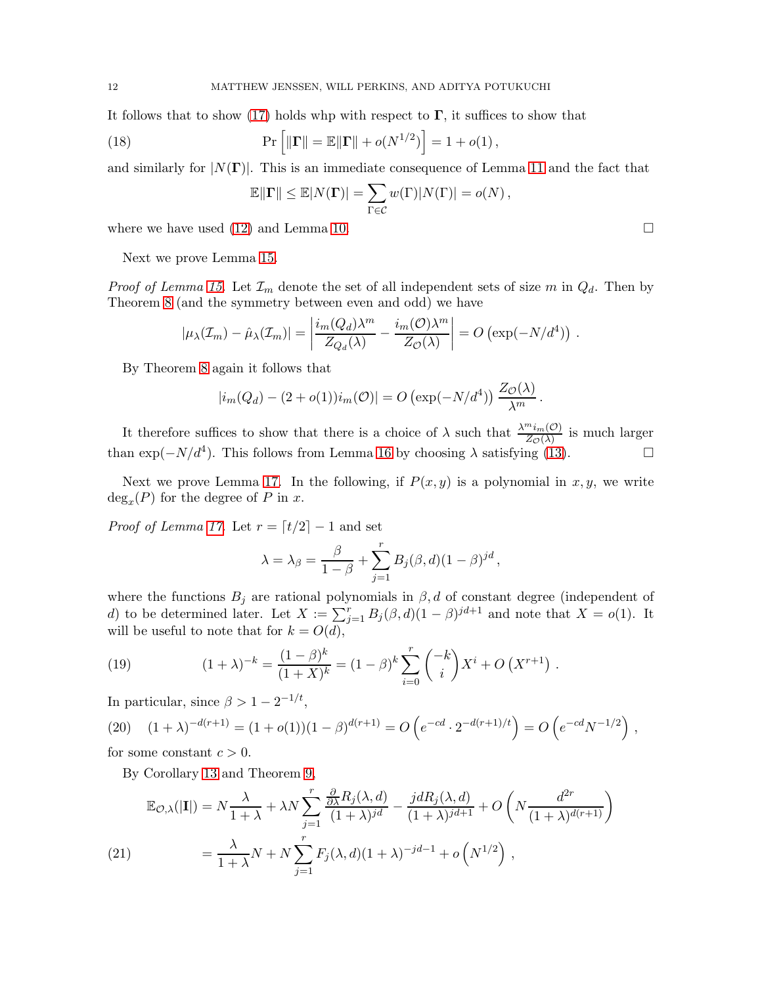It follows that to show [\(17\)](#page-11-4) holds whp with respect to  $\Gamma$ , it suffices to show that

(18) 
$$
\Pr [||\mathbf{\Gamma}|| = \mathbb{E}||\mathbf{\Gamma}|| + o(N^{1/2})] = 1 + o(1),
$$

and similarly for  $|N(\Gamma)|$ . This is an immediate consequence of Lemma [11](#page-9-2) and the fact that

$$
\mathbb{E}||\mathbf{\Gamma}|| \leq \mathbb{E}|N(\mathbf{\Gamma})| = \sum_{\Gamma \in \mathcal{C}} w(\Gamma)|N(\Gamma)| = o(N),
$$

where we have used [\(12\)](#page-9-0) and Lemma [10.](#page-8-0)  $\Box$ 

Next we prove Lemma [15.](#page-10-2)

*Proof of Lemma [15.](#page-10-2)* Let  $\mathcal{I}_m$  denote the set of all independent sets of size m in  $Q_d$ . Then by Theorem [8](#page-6-0) (and the symmetry between even and odd) we have

$$
|\mu_{\lambda}(\mathcal{I}_m) - \hat{\mu}_{\lambda}(\mathcal{I}_m)| = \left| \frac{i_m(Q_d)\lambda^m}{Z_{Q_d}(\lambda)} - \frac{i_m(O)\lambda^m}{Z_O(\lambda)} \right| = O\left(\exp(-N/d^4)\right).
$$

By Theorem [8](#page-6-0) again it follows that

$$
|i_m(Q_d) - (2 + o(1))i_m(\mathcal{O})| = O\left(\exp(-N/d^4)\right) \frac{Z_{\mathcal{O}}(\lambda)}{\lambda^m}.
$$

It therefore suffices to show that there is a choice of  $\lambda$  such that  $\frac{\lambda^{m}i_{m}(0)}{Z_{\mathcal{O}}(\lambda)}$  is much larger than  $\exp(-N/d^4)$ . This follows from Lemma [16](#page-11-0) by choosing  $\lambda$  satisfying [\(13\)](#page-11-1).

Next we prove Lemma [17.](#page-11-5) In the following, if  $P(x, y)$  is a polynomial in x, y, we write  $deg_x(P)$  for the degree of P in x.

*Proof of Lemma [17.](#page-11-5)* Let  $r = \lfloor t/2 \rfloor - 1$  and set

$$
\lambda = \lambda_{\beta} = \frac{\beta}{1-\beta} + \sum_{j=1}^{r} B_j(\beta, d)(1-\beta)^{jd},
$$

where the functions  $B_j$  are rational polynomials in  $\beta$ , d of constant degree (independent of d) to be determined later. Let  $X := \sum_{j=1}^r B_j(\beta, d)(1 - \beta)^{jd+1}$  and note that  $X = o(1)$ . It will be useful to note that for  $k = O(d)$ ,

<span id="page-12-0"></span>(19) 
$$
(1 + \lambda)^{-k} = \frac{(1 - \beta)^k}{(1 + X)^k} = (1 - \beta)^k \sum_{i=0}^r \binom{-k}{i} X^i + O(X^{r+1}).
$$

In particular, since  $\beta > 1 - 2^{-1/t}$ ,

<span id="page-12-2"></span>(20) 
$$
(1 + \lambda)^{-d(r+1)} = (1 + o(1))(1 - \beta)^{d(r+1)} = O\left(e^{-cd} \cdot 2^{-d(r+1)/t}\right) = O\left(e^{-cd}N^{-1/2}\right),
$$

for some constant  $c > 0$ .

By Corollary [13](#page-10-3) and Theorem [9,](#page-7-0)

<span id="page-12-1"></span>
$$
\mathbb{E}_{\mathcal{O},\lambda}(|\mathbf{I}|) = N \frac{\lambda}{1+\lambda} + \lambda N \sum_{j=1}^{r} \frac{\frac{\partial}{\partial \lambda} R_j(\lambda, d)}{(1+\lambda)^{jd}} - \frac{j d R_j(\lambda, d)}{(1+\lambda)^{jd+1}} + O\left(N \frac{d^{2r}}{(1+\lambda)^{d(r+1)}}\right)
$$
\n
$$
(21) \qquad \qquad = \frac{\lambda}{1+\lambda} N + N \sum_{j=1}^{r} F_j(\lambda, d) (1+\lambda)^{-jd-1} + o\left(N^{1/2}\right) \,,
$$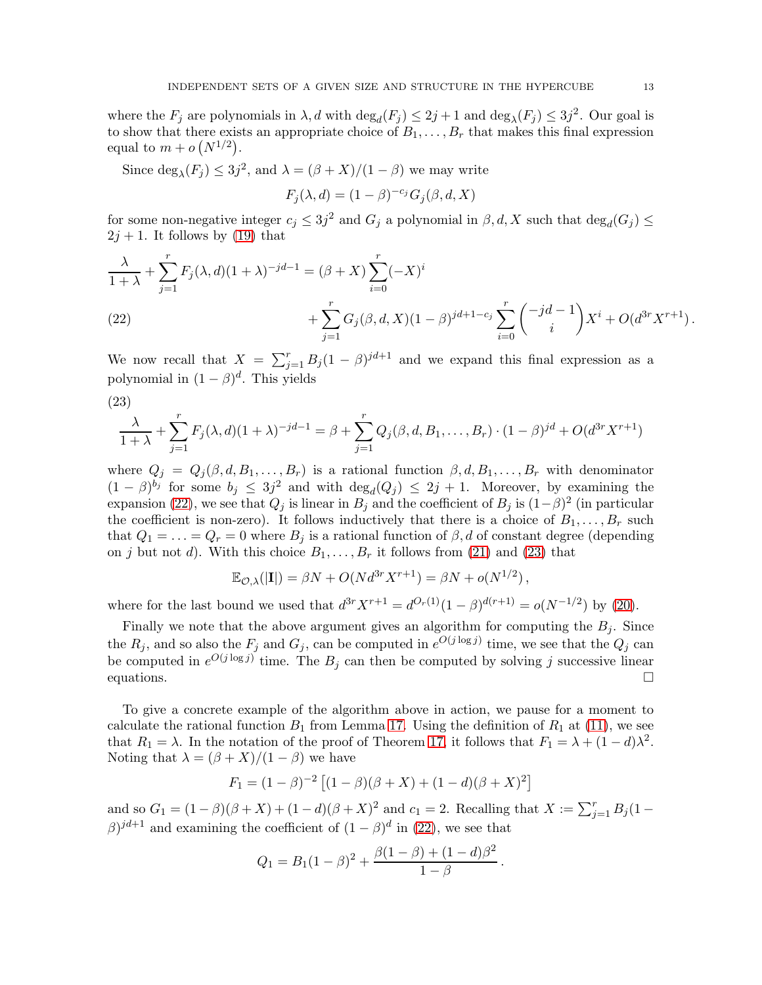where the  $F_j$  are polynomials in  $\lambda$ , d with  $\deg_d(F_j) \leq 2j+1$  and  $\deg_\lambda(F_j) \leq 3j^2$ . Our goal is to show that there exists an appropriate choice of  $B_1, \ldots, B_r$  that makes this final expression equal to  $m + o(N^{1/2})$ .

Since  $\deg_{\lambda}(F_j) \leq 3j^2$ , and  $\lambda = (\beta + X)/(1 - \beta)$  we may write

$$
F_j(\lambda, d) = (1 - \beta)^{-c_j} G_j(\beta, d, X)
$$

for some non-negative integer  $c_j \leq 3j^2$  and  $G_j$  a polynomial in  $\beta, d, X$  such that  $\deg_d(G_j) \leq$  $2j + 1$ . It follows by [\(19\)](#page-12-0) that

$$
\frac{\lambda}{1+\lambda} + \sum_{j=1}^r F_j(\lambda, d)(1+\lambda)^{-jd-1} = (\beta + X) \sum_{i=0}^r (-X)^i
$$
  
(22)  

$$
+ \sum_{j=1}^r G_j(\beta, d, X)(1-\beta)^{jd+1-c_j} \sum_{i=0}^r {\binom{-jd-1}{i}} X^i + O(d^{3r} X^{r+1}).
$$

<span id="page-13-0"></span>We now recall that  $X = \sum_{j=1}^r B_j (1-\beta)^{jd+1}$  and we expand this final expression as a polynomial in  $(1 - \beta)^d$ . This yields

<span id="page-13-1"></span>(23)

$$
\frac{\lambda}{1+\lambda} + \sum_{j=1}^r F_j(\lambda, d)(1+\lambda)^{-jd-1} = \beta + \sum_{j=1}^r Q_j(\beta, d, B_1, \dots, B_r) \cdot (1-\beta)^{jd} + O(d^{3r}X^{r+1})
$$

where  $Q_j = Q_j(\beta, d, B_1, \ldots, B_r)$  is a rational function  $\beta, d, B_1, \ldots, B_r$  with denominator  $(1 - \beta)^{b_j}$  for some  $b_j \leq 3j^2$  and with  $\deg_d(Q_j) \leq 2j + 1$ . Moreover, by examining the expansion [\(22\)](#page-13-0), we see that  $Q_j$  is linear in  $B_j$  and the coefficient of  $B_j$  is  $(1-\beta)^2$  (in particular the coefficient is non-zero). It follows inductively that there is a choice of  $B_1, \ldots, B_r$  such that  $Q_1 = \ldots = Q_r = 0$  where  $B_i$  is a rational function of  $\beta$ , d of constant degree (depending on j but not d). With this choice  $B_1, \ldots, B_r$  it follows from [\(21\)](#page-12-1) and [\(23\)](#page-13-1) that

$$
\mathbb{E}_{\mathcal{O},\lambda}(|\mathbf{I}|) = \beta N + O(Nd^{3r}X^{r+1}) = \beta N + o(N^{1/2}),
$$

where for the last bound we used that  $d^{3r} X^{r+1} = d^{O_r(1)}(1-\beta)^{d(r+1)} = o(N^{-1/2})$  by [\(20\)](#page-12-2).

Finally we note that the above argument gives an algorithm for computing the  $B_j$ . Since the  $R_j$ , and so also the  $F_j$  and  $G_j$ , can be computed in  $e^{O(j \log j)}$  time, we see that the  $Q_j$  can be computed in  $e^{O(j \log j)}$  time. The  $B_j$  can then be computed by solving j successive linear equations.  $\Box$ 

To give a concrete example of the algorithm above in action, we pause for a moment to calculate the rational function  $B_1$  from Lemma [17.](#page-11-5) Using the definition of  $R_1$  at [\(11\)](#page-7-2), we see that  $R_1 = \lambda$ . In the notation of the proof of Theorem [17,](#page-11-5) it follows that  $F_1 = \lambda + (1 - d)\lambda^2$ . Noting that  $\lambda = (\beta + X)/(1 - \beta)$  we have

$$
F_1 = (1 - \beta)^{-2} [(1 - \beta)(\beta + X) + (1 - d)(\beta + X)^2]
$$

and so  $G_1 = (1 - \beta)(\beta + X) + (1 - d)(\beta + X)^2$  and  $c_1 = 2$ . Recalling that  $X := \sum_{j=1}^r B_j (1 \beta$ )<sup>*i*d+1</sup> and examining the coefficient of  $(1 - \beta)^d$  in [\(22\)](#page-13-0), we see that

$$
Q_1 = B_1(1 - \beta)^2 + \frac{\beta(1 - \beta) + (1 - d)\beta^2}{1 - \beta}.
$$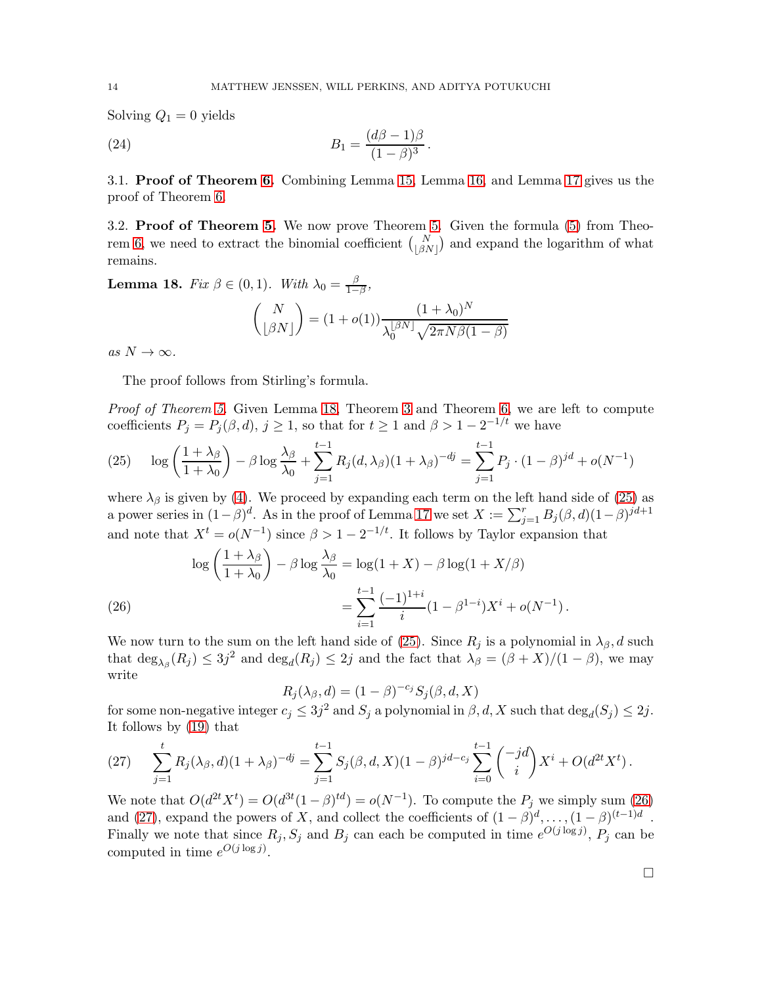Solving  $Q_1 = 0$  yields

<span id="page-14-4"></span>(24) 
$$
B_1 = \frac{(d\beta - 1)\beta}{(1 - \beta)^3}.
$$

3.1. Proof of Theorem [6.](#page-4-2) Combining Lemma [15,](#page-10-2) Lemma [16,](#page-11-0) and Lemma [17](#page-11-5) gives us the proof of Theorem [6.](#page-4-2)

3.2. Proof of Theorem [5.](#page-3-0) We now prove Theorem [5.](#page-3-0) Given the formula [\(5\)](#page-3-0) from Theo-rem [6,](#page-4-2) we need to extract the binomial coefficient  $\binom{N}{\lfloor \beta N \rfloor}$  and expand the logarithm of what remains.

<span id="page-14-0"></span>**Lemma 18.** Fix  $\beta \in (0,1)$ . With  $\lambda_0 = \frac{\beta}{1-\beta}$  $rac{\beta}{1-\beta}$ 

$$
\binom{N}{\lfloor \beta N \rfloor} = (1 + o(1)) \frac{(1 + \lambda_0)^N}{\lambda_0^{\lfloor \beta N \rfloor} \sqrt{2 \pi N \beta (1 - \beta)}}
$$

as  $N \to \infty$ .

The proof follows from Stirling's formula.

Proof of Theorem [5.](#page-3-0) Given Lemma [18,](#page-14-0) Theorem [3](#page-2-2) and Theorem [6,](#page-4-2) we are left to compute coefficients  $P_j = P_j(\beta, d)$ ,  $j \ge 1$ , so that for  $t \ge 1$  and  $\beta > 1 - 2^{-1/t}$  we have

<span id="page-14-1"></span>(25) 
$$
\log \left( \frac{1 + \lambda_{\beta}}{1 + \lambda_{0}} \right) - \beta \log \frac{\lambda_{\beta}}{\lambda_{0}} + \sum_{j=1}^{t-1} R_{j}(d, \lambda_{\beta})(1 + \lambda_{\beta})^{-dj} = \sum_{j=1}^{t-1} P_{j} \cdot (1 - \beta)^{jd} + o(N^{-1})
$$

where  $\lambda_{\beta}$  is given by [\(4\)](#page-4-1). We proceed by expanding each term on the left hand side of [\(25\)](#page-14-1) as a power series in  $(1-\beta)^d$ . As in the proof of Lemma [17](#page-11-5) we set  $X := \sum_{j=1}^r B_j(\beta, d)(1-\beta)^{jd+1}$ and note that  $X^t = o(N^{-1})$  since  $\beta > 1 - 2^{-1/t}$ . It follows by Taylor expansion that

(26)  
\n
$$
\log\left(\frac{1+\lambda_{\beta}}{1+\lambda_{0}}\right) - \beta \log \frac{\lambda_{\beta}}{\lambda_{0}} = \log(1+X) - \beta \log(1+X/\beta)
$$
\n
$$
= \sum_{i=1}^{t-1} \frac{(-1)^{1+i}}{i} (1-\beta^{1-i}) X^{i} + o(N^{-1}).
$$

<span id="page-14-2"></span>We now turn to the sum on the left hand side of [\(25\)](#page-14-1). Since  $R_j$  is a polynomial in  $\lambda_{\beta}$ , d such that  $\deg_{\lambda_{\beta}}(R_j) \leq 3j^2$  and  $\deg_d(R_j) \leq 2j$  and the fact that  $\lambda_{\beta} = (\beta + X)/(1 - \beta)$ , we may write

$$
R_j(\lambda_\beta, d) = (1 - \beta)^{-c_j} S_j(\beta, d, X)
$$

for some non-negative integer  $c_j \leq 3j^2$  and  $S_j$  a polynomial in  $\beta$ , d, X such that  $\deg_d(S_j) \leq 2j$ . It follows by [\(19\)](#page-12-0) that

<span id="page-14-3"></span>(27) 
$$
\sum_{j=1}^{t} R_j(\lambda_{\beta}, d)(1 + \lambda_{\beta})^{-dj} = \sum_{j=1}^{t-1} S_j(\beta, d, X)(1 - \beta)^{jd - c_j} \sum_{i=0}^{t-1} {\binom{-jd}{i}} X^i + O(d^{2t} X^t).
$$

We note that  $O(d^{2t}X^t) = O(d^{3t}(1-\beta)^{td}) = o(N^{-1})$ . To compute the  $P_j$  we simply sum [\(26\)](#page-14-2) and [\(27\)](#page-14-3), expand the powers of X, and collect the coefficients of  $(1 - \beta)^d$ , ...,  $(1 - \beta)^{(t-1)d}$ . Finally we note that since  $R_j$ ,  $S_j$  and  $B_j$  can each be computed in time  $e^{O(j \log j)}$ ,  $P_j$  can be computed in time  $e^{O(j \log j)}$ .

 $\Box$ 

$$
^{14}
$$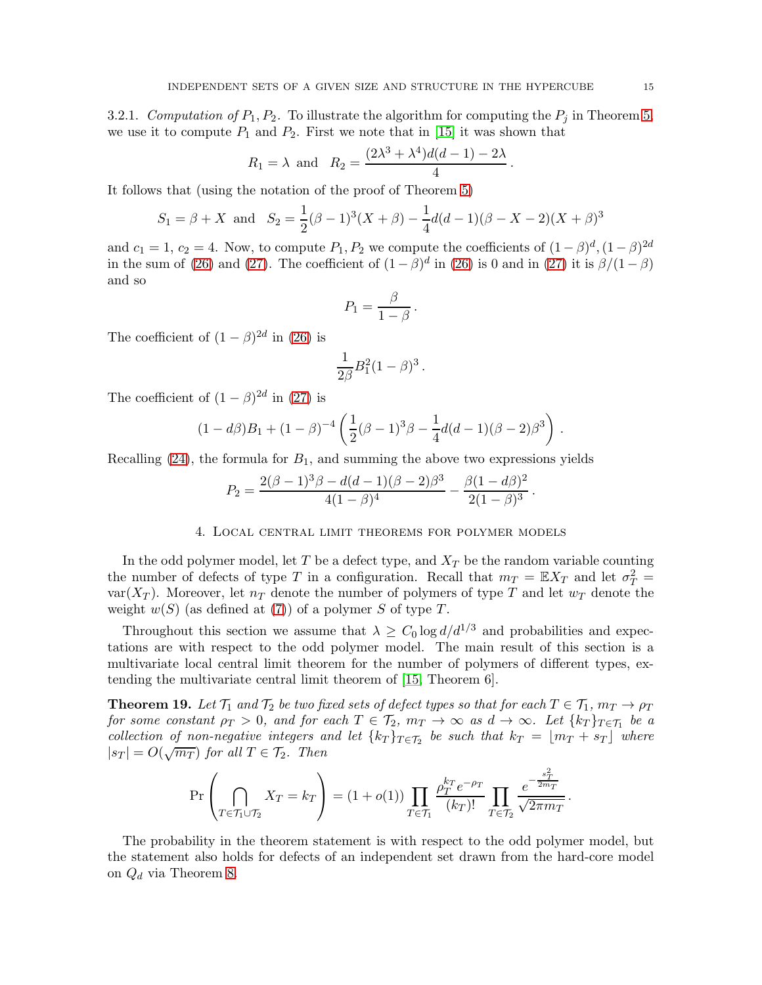3.2.1. Computation of  $P_1, P_2$ . To illustrate the algorithm for computing the  $P_j$  in Theorem [5,](#page-3-0) we use it to compute  $P_1$  and  $P_2$ . First we note that in [\[15\]](#page-19-2) it was shown that

$$
R_1 = \lambda \text{ and } R_2 = \frac{(2\lambda^3 + \lambda^4)d(d-1) - 2\lambda}{4}.
$$

It follows that (using the notation of the proof of Theorem [5\)](#page-3-0)

$$
S_1 = \beta + X
$$
 and  $S_2 = \frac{1}{2}(\beta - 1)^3(X + \beta) - \frac{1}{4}d(d - 1)(\beta - X - 2)(X + \beta)^3$ 

and  $c_1 = 1, c_2 = 4$ . Now, to compute  $P_1, P_2$  we compute the coefficients of  $(1 - \beta)^d, (1 - \beta)^{2d}$ in the sum of [\(26\)](#page-14-2) and [\(27\)](#page-14-3). The coefficient of  $(1 - \beta)^d$  in (26) is 0 and in (27) it is  $\beta/(1 - \beta)$ and so

$$
P_1 = \frac{\beta}{1 - \beta} \, .
$$

The coefficient of  $(1 - \beta)^{2d}$  in [\(26\)](#page-14-2) is

$$
\frac{1}{2\beta}B_1^2(1-\beta)^3\,.
$$

The coefficient of  $(1 - \beta)^{2d}$  in [\(27\)](#page-14-3) is

$$
(1-d\beta)B_1 + (1-\beta)^{-4} \left(\frac{1}{2}(\beta-1)^3 \beta - \frac{1}{4}d(d-1)(\beta-2)\beta^3\right)
$$

Recalling  $(24)$ , the formula for  $B_1$ , and summing the above two expressions yields

$$
P_2 = \frac{2(\beta - 1)^3 \beta - d(d - 1)(\beta - 2)\beta^3}{4(1 - \beta)^4} - \frac{\beta(1 - d\beta)^2}{2(1 - \beta)^3}
$$

#### 4. Local central limit theorems for polymer models

<span id="page-15-0"></span>In the odd polymer model, let T be a defect type, and  $X_T$  be the random variable counting the number of defects of type T in a configuration. Recall that  $m_T = \mathbb{E}X_T$  and let  $\sigma_T^2 =$ var $(X_T)$ . Moreover, let  $n_T$  denote the number of polymers of type T and let  $w_T$  denote the weight  $w(S)$  (as defined at [\(7\)](#page-6-1)) of a polymer S of type T.

Throughout this section we assume that  $\lambda \geq C_0 \log d/d^{1/3}$  and probabilities and expectations are with respect to the odd polymer model. The main result of this section is a multivariate local central limit theorem for the number of polymers of different types, extending the multivariate central limit theorem of [\[15,](#page-19-2) Theorem 6].

<span id="page-15-1"></span>**Theorem 19.** Let  $\mathcal{T}_1$  and  $\mathcal{T}_2$  be two fixed sets of defect types so that for each  $T \in \mathcal{T}_1$ ,  $m_T \to \rho_T$ for some constant  $\rho_T > 0$ , and for each  $T \in \mathcal{T}_2$ ,  $m_T \to \infty$  as  $d \to \infty$ . Let  $\{k_T\}_{T \in \mathcal{T}_1}$  be a collection of non-negative integers and let  $\{k_T\}_{T \in \mathcal{T}_2}$  be such that  $k_T = \lfloor m_T + s_T \rfloor$  where  $|s_T| = O(\sqrt{m_T})$  for all  $T \in \mathcal{T}_2$ . Then

$$
\Pr\left(\bigcap_{T\in\mathcal{T}_1\cup\mathcal{T}_2}X_T=k_T\right) = (1+o(1))\prod_{T\in\mathcal{T}_1}\frac{\rho_T^{k_T}e^{-\rho_T}}{(k_T)!}\prod_{T\in\mathcal{T}_2}\frac{e^{-\frac{s_T^2}{2m_T}}}{\sqrt{2\pi m_T}}.
$$

The probability in the theorem statement is with respect to the odd polymer model, but the statement also holds for defects of an independent set drawn from the hard-core model on  $Q_d$  via Theorem [8.](#page-6-0)

.

.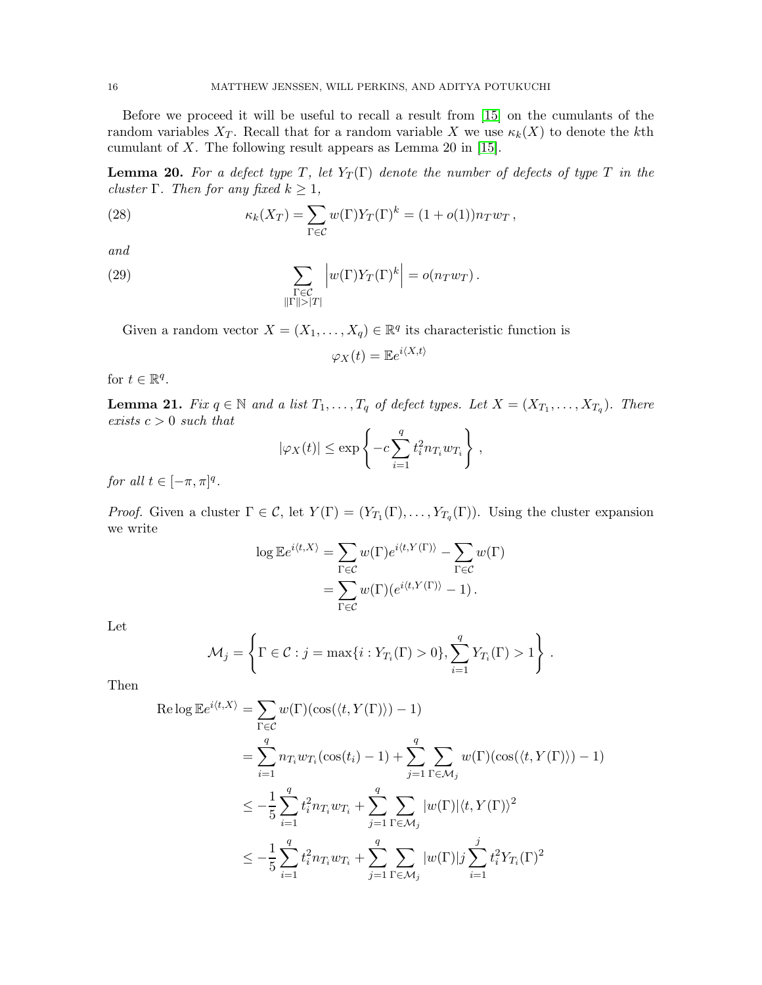Before we proceed it will be useful to recall a result from [\[15\]](#page-19-2) on the cumulants of the random variables  $X_T$ . Recall that for a random variable X we use  $\kappa_k(X)$  to denote the kth cumulant of X. The following result appears as Lemma 20 in  $[15]$ .

<span id="page-16-0"></span>**Lemma 20.** For a defect type T, let  $Y_T(\Gamma)$  denote the number of defects of type T in the cluster Γ. Then for any fixed  $k \geq 1$ ,

(28) 
$$
\kappa_k(X_T) = \sum_{\Gamma \in \mathcal{C}} w(\Gamma) Y_T(\Gamma)^k = (1 + o(1)) n_T w_T,
$$

and

(29) 
$$
\sum_{\substack{\Gamma \in \mathcal{C} \\ ||\Gamma|| > |T|}} \left| w(\Gamma) Y_T(\Gamma)^k \right| = o(n_T w_T).
$$

Given a random vector  $X = (X_1, \ldots, X_q) \in \mathbb{R}^q$  its characteristic function is

$$
\varphi_X(t) = \mathbb{E}e^{i\langle X,t\rangle}
$$

for  $t \in \mathbb{R}^q$ .

<span id="page-16-1"></span>**Lemma 21.** Fix  $q \in \mathbb{N}$  and a list  $T_1, \ldots, T_q$  of defect types. Let  $X = (X_{T_1}, \ldots, X_{T_q})$ . There exists  $c > 0$  such that

$$
|\varphi_X(t)| \le \exp\left\{-c\sum_{i=1}^q t_i^2 n_{T_i} w_{T_i}\right\},\,
$$

for all  $t \in [-\pi, \pi]^q$ .

*Proof.* Given a cluster  $\Gamma \in \mathcal{C}$ , let  $Y(\Gamma) = (Y_{T_1}(\Gamma), \dots, Y_{T_q}(\Gamma))$ . Using the cluster expansion we write

$$
\log \mathbb{E}e^{i\langle t, X \rangle} = \sum_{\Gamma \in \mathcal{C}} w(\Gamma) e^{i\langle t, Y(\Gamma) \rangle} - \sum_{\Gamma \in \mathcal{C}} w(\Gamma)
$$

$$
= \sum_{\Gamma \in \mathcal{C}} w(\Gamma) (e^{i\langle t, Y(\Gamma) \rangle} - 1).
$$

Let

$$
\mathcal{M}_j = \left\{ \Gamma \in \mathcal{C} : j = \max\{i : Y_{T_i}(\Gamma) > 0\}, \sum_{i=1}^q Y_{T_i}(\Gamma) > 1 \right\}.
$$

Then

$$
\begin{split} \operatorname{Re}\log\mathbb{E}e^{i\langle t,X\rangle} &= \sum_{\Gamma\in\mathcal{C}}w(\Gamma)(\cos(\langle t,Y(\Gamma)\rangle)-1) \\ &= \sum_{i=1}^q n_{T_i}w_{T_i}(\cos(t_i)-1)+\sum_{j=1}^q\sum_{\Gamma\in\mathcal{M}_j}w(\Gamma)(\cos(\langle t,Y(\Gamma)\rangle)-1) \\ &\leq -\frac{1}{5}\sum_{i=1}^qt_i^2n_{T_i}w_{T_i}+\sum_{j=1}^q\sum_{\Gamma\in\mathcal{M}_j}|w(\Gamma)|\langle t,Y(\Gamma)\rangle^2 \\ &\leq -\frac{1}{5}\sum_{i=1}^qt_i^2n_{T_i}w_{T_i}+\sum_{j=1}^q\sum_{\Gamma\in\mathcal{M}_j}|w(\Gamma)|j\sum_{i=1}^jt_i^2Y_{T_i}(\Gamma)^2 \end{split}
$$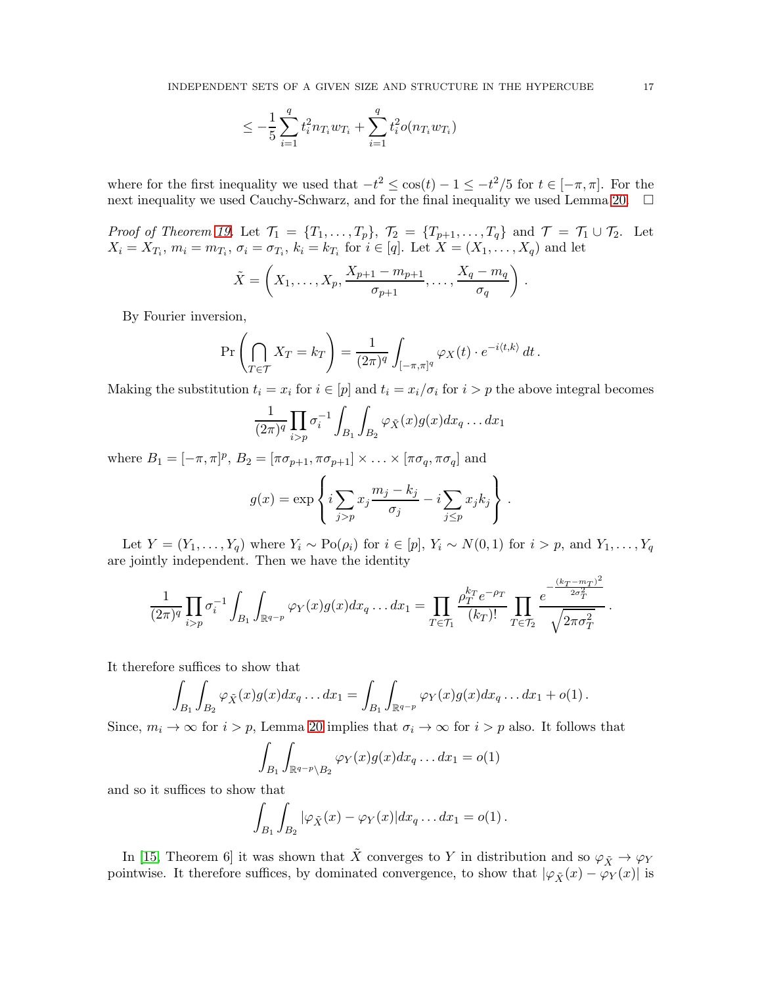$$
\leq -\frac{1}{5}\sum_{i=1}^{q} t_i^2 n_{T_i} w_{T_i} + \sum_{i=1}^{q} t_i^2 o(n_{T_i} w_{T_i})
$$

where for the first inequality we used that  $-t^2 \leq \cos(t) - 1 \leq -t^2/5$  for  $t \in [-\pi, \pi]$ . For the next inequality we used Cauchy-Schwarz, and for the final inequality we used Lemma [20.](#page-16-0)  $\Box$ 

*Proof of Theorem [19.](#page-15-1)* Let  $\mathcal{T}_1 = \{T_1, \ldots, T_p\}$ ,  $\mathcal{T}_2 = \{T_{p+1}, \ldots, T_q\}$  and  $\mathcal{T} = \mathcal{T}_1 \cup \mathcal{T}_2$ . Let  $X_i = X_{T_i}, m_i = m_{T_i}, \sigma_i = \sigma_{T_i}, k_i = k_{T_i}$  for  $i \in [q]$ . Let  $X = (X_1, \ldots, X_q)$  and let

$$
\tilde{X} = \left(X_1, \ldots, X_p, \frac{X_{p+1} - m_{p+1}}{\sigma_{p+1}}, \ldots, \frac{X_q - m_q}{\sigma_q}\right).
$$

By Fourier inversion,

$$
\Pr\left(\bigcap_{T\in\mathcal{T}} X_T = k_T\right) = \frac{1}{(2\pi)^q} \int_{[-\pi,\pi]^q} \varphi_X(t) \cdot e^{-i\langle t,k\rangle} dt.
$$

Making the substitution  $t_i = x_i$  for  $i \in [p]$  and  $t_i = x_i/\sigma_i$  for  $i > p$  the above integral becomes

$$
\frac{1}{(2\pi)^q} \prod_{i>p} \sigma_i^{-1} \int_{B_1} \int_{B_2} \varphi_{\tilde{X}}(x) g(x) dx_q \dots dx_1
$$

where  $B_1 = [-\pi, \pi]^p$ ,  $B_2 = [\pi \sigma_{p+1}, \pi \sigma_{p+1}] \times ... \times [\pi \sigma_q, \pi \sigma_q]$  and

$$
g(x) = \exp\left\{i \sum_{j>p} x_j \frac{m_j - k_j}{\sigma_j} - i \sum_{j \le p} x_j k_j\right\}.
$$

Let  $Y = (Y_1, \ldots, Y_q)$  where  $Y_i \sim Po(\rho_i)$  for  $i \in [p], Y_i \sim N(0, 1)$  for  $i > p$ , and  $Y_1, \ldots, Y_q$ are jointly independent. Then we have the identity

$$
\frac{1}{(2\pi)^q}\prod_{i>p}\sigma_i^{-1}\int_{B_1}\int_{\mathbb{R}^{q-p}}\varphi_Y(x)g(x)dx_q\ldots dx_1=\prod_{T\in\mathcal{T}_1}\frac{\rho_T^{k_T}e^{-\rho_T}}{(k_T)!}\prod_{T\in\mathcal{T}_2}\frac{e^{-\frac{(k_T-m_T)^2}{2\sigma_T^2}}}{\sqrt{2\pi\sigma_T^2}}.
$$

It therefore suffices to show that

$$
\int_{B_1} \int_{B_2} \varphi_{\tilde{X}}(x) g(x) dx_q \dots dx_1 = \int_{B_1} \int_{\mathbb{R}^{q-p}} \varphi_Y(x) g(x) dx_q \dots dx_1 + o(1) .
$$

Since,  $m_i \to \infty$  for  $i > p$ , Lemma [20](#page-16-0) implies that  $\sigma_i \to \infty$  for  $i > p$  also. It follows that

$$
\int_{B_1} \int_{\mathbb{R}^{q-p} \setminus B_2} \varphi_Y(x) g(x) dx_q \dots dx_1 = o(1)
$$

and so it suffices to show that

$$
\int_{B_1}\int_{B_2} |\varphi_{\tilde{X}}(x) - \varphi_Y(x)| dx_q \dots dx_1 = o(1).
$$

In [\[15,](#page-19-2) Theorem 6] it was shown that  $\tilde{X}$  converges to Y in distribution and so  $\varphi_{\tilde{X}} \to \varphi_Y$ pointwise. It therefore suffices, by dominated convergence, to show that  $|\varphi_{\tilde{X}}(x) - \varphi_{Y}(x)|$  is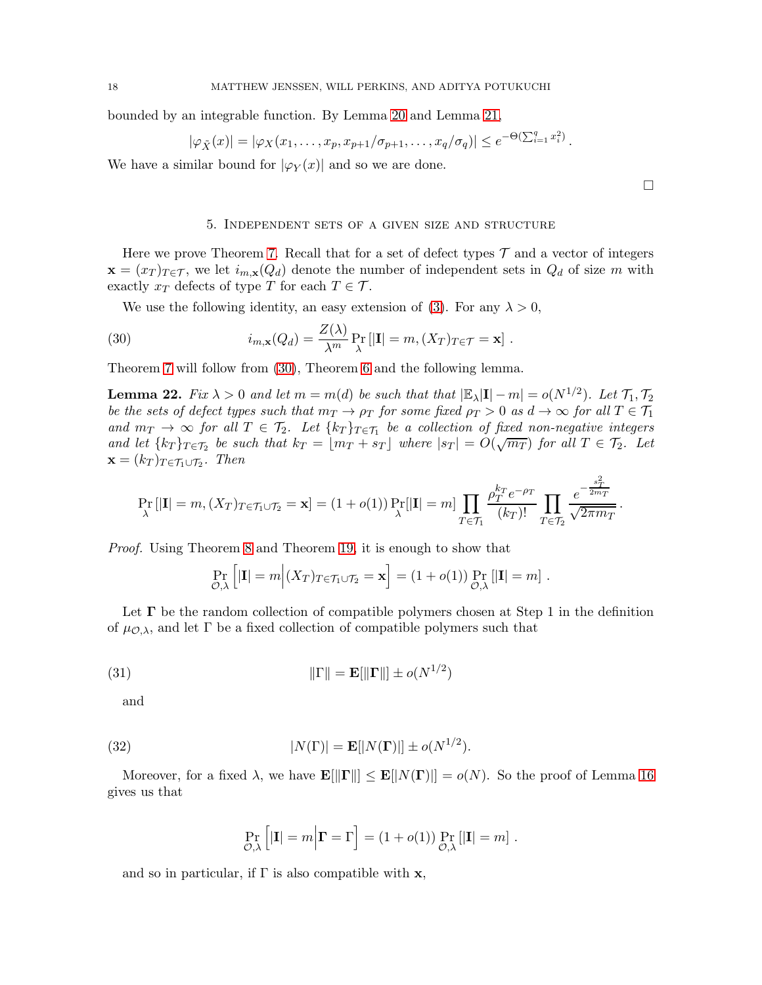bounded by an integrable function. By Lemma [20](#page-16-0) and Lemma [21,](#page-16-1)

$$
|\varphi_{\tilde{X}}(x)| = |\varphi_X(x_1,\ldots,x_p,x_{p+1}/\sigma_{p+1},\ldots,x_q/\sigma_q)| \le e^{-\Theta(\sum_{i=1}^q x_i^2)}.
$$

We have a similar bound for  $|\varphi_Y(x)|$  and so we are done.

#### <span id="page-18-0"></span>5. Independent sets of a given size and structure

 $\Box$ 

Here we prove Theorem [7.](#page-4-3) Recall that for a set of defect types  $\mathcal T$  and a vector of integers  $\mathbf{x} = (x_T)_{T \in \mathcal{T}}$ , we let  $i_{m,\mathbf{x}}(Q_d)$  denote the number of independent sets in  $Q_d$  of size m with exactly  $x_T$  defects of type T for each  $T \in \mathcal{T}$ .

We use the following identity, an easy extension of [\(3\)](#page-3-1). For any  $\lambda > 0$ ,

(30) 
$$
i_{m,\mathbf{x}}(Q_d) = \frac{Z(\lambda)}{\lambda^m} \Pr_{\lambda} [|{\mathbf{I}}| = m, (X_T)_{T \in \mathcal{T}} = \mathbf{x}].
$$

Theorem [7](#page-4-3) will follow from [\(30\)](#page-18-0), Theorem [6](#page-4-2) and the following lemma.

**Lemma 22.** Fix  $\lambda > 0$  and let  $m = m(d)$  be such that that  $|\mathbb{E}_{\lambda}|\mathbf{I}| - m| = o(N^{1/2})$ . Let  $\mathcal{T}_1, \mathcal{T}_2$ be the sets of defect types such that  $m_T \to \rho_T$  for some fixed  $\rho_T > 0$  as  $d \to \infty$  for all  $T \in \mathcal{T}_1$ and  $m_T \rightarrow \infty$  for all  $T \in \mathcal{T}_2$ . Let  $\{k_T\}_{T \in \mathcal{T}_1}$  be a collection of fixed non-negative integers and let  ${k_T}_{T \in \mathcal{T}_2}$  be such that  $k_T = \lfloor m_T + s_T \rfloor$  where  $|s_T| = O(\sqrt{m_T})$  for all  $T \in \mathcal{T}_2$ . Let  $\mathbf{x} = (k_T)_{T \in \mathcal{T}_1 \cup \mathcal{T}_2}$ . Then

$$
\Pr_{\lambda} \left[|\mathbf{I}| = m, (X_T)_{T \in \mathcal{T}_1 \cup \mathcal{T}_2} = \mathbf{x}\right] = (1 + o(1)) \Pr_{\lambda} \left[|\mathbf{I}| = m\right] \prod_{T \in \mathcal{T}_1} \frac{\rho_T^{k_T} e^{-\rho_T}}{(k_T)!} \prod_{T \in \mathcal{T}_2} \frac{e^{-\frac{s_T^2}{2m_T}}}{\sqrt{2\pi m_T}}.
$$

Proof. Using Theorem [8](#page-6-0) and Theorem [19,](#page-15-1) it is enough to show that

<span id="page-18-1"></span>
$$
\Pr_{\mathcal{O},\lambda}\left[|\mathbf{I}|=m\Big|(X_T)_{T\in\mathcal{T}_1\cup\mathcal{T}_2}=\mathbf{x}\right]=(1+o(1))\Pr_{\mathcal{O},\lambda}\left[|\mathbf{I}|=m\right].
$$

Let  $\Gamma$  be the random collection of compatible polymers chosen at Step 1 in the definition of  $\mu_{\mathcal{O},\lambda}$ , and let  $\Gamma$  be a fixed collection of compatible polymers such that

(31) 
$$
\|\Gamma\| = \mathbf{E}[\|\mathbf{\Gamma}\|] \pm o(N^{1/2})
$$

and

(32) 
$$
|N(\Gamma)| = \mathbf{E}[|N(\Gamma)|] \pm o(N^{1/2}).
$$

Moreover, for a fixed  $\lambda$ , we have  $\mathbf{E}[\|\mathbf{\Gamma}\|] \leq \mathbf{E}[|N(\mathbf{\Gamma})|] = o(N)$ . So the proof of Lemma [16](#page-11-0) gives us that

<span id="page-18-2"></span>
$$
\Pr_{\mathcal{O},\lambda}\left[|\mathbf{I}|=m\Big|\mathbf{\Gamma}=\Gamma\right]=(1+o(1))\Pr_{\mathcal{O},\lambda}\left[|\mathbf{I}|=m\right].
$$

and so in particular, if  $\Gamma$  is also compatible with  $x$ ,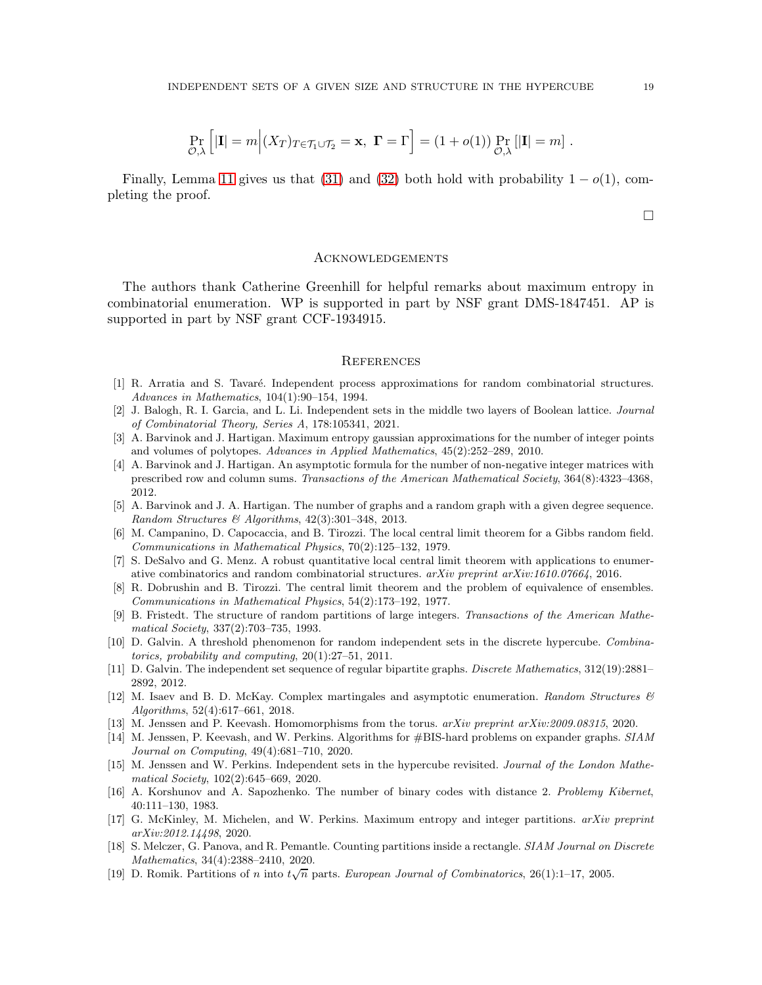$$
\Pr_{\mathcal{O},\lambda}\left[|\mathbf{I}|=m\Big| (X_T)_{T\in\mathcal{T}_1\cup\mathcal{T}_2}=\mathbf{x}, \ \mathbf{\Gamma}=\Gamma\right] = (1+o(1)) \Pr_{\mathcal{O},\lambda}\left[|\mathbf{I}|=m\right].
$$

Finally, Lemma [11](#page-9-2) gives us that [\(31\)](#page-18-1) and [\(32\)](#page-18-2) both hold with probability  $1 - o(1)$ , completing the proof.

 $\Box$ 

#### **ACKNOWLEDGEMENTS**

The authors thank Catherine Greenhill for helpful remarks about maximum entropy in combinatorial enumeration. WP is supported in part by NSF grant DMS-1847451. AP is supported in part by NSF grant CCF-1934915.

#### **REFERENCES**

- <span id="page-19-16"></span>[1] R. Arratia and S. Tavaré. Independent process approximations for random combinatorial structures. *Advances in Mathematics*, 104(1):90–154, 1994.
- <span id="page-19-12"></span>[2] J. Balogh, R. I. Garcia, and L. Li. Independent sets in the middle two layers of Boolean lattice. *Journal of Combinatorial Theory, Series A*, 178:105341, 2021.
- <span id="page-19-14"></span>[3] A. Barvinok and J. Hartigan. Maximum entropy gaussian approximations for the number of integer points and volumes of polytopes. *Advances in Applied Mathematics*, 45(2):252–289, 2010.
- <span id="page-19-9"></span>[4] A. Barvinok and J. Hartigan. An asymptotic formula for the number of non-negative integer matrices with prescribed row and column sums. *Transactions of the American Mathematical Society*, 364(8):4323–4368, 2012.
- <span id="page-19-10"></span>[5] A. Barvinok and J. A. Hartigan. The number of graphs and a random graph with a given degree sequence. *Random Structures & Algorithms*, 42(3):301–348, 2013.
- <span id="page-19-18"></span>[6] M. Campanino, D. Capocaccia, and B. Tirozzi. The local central limit theorem for a Gibbs random field. *Communications in Mathematical Physics*, 70(2):125–132, 1979.
- <span id="page-19-6"></span>[7] S. DeSalvo and G. Menz. A robust quantitative local central limit theorem with applications to enumerative combinatorics and random combinatorial structures. *arXiv preprint arXiv:1610.07664*, 2016.
- <span id="page-19-17"></span>[8] R. Dobrushin and B. Tirozzi. The central limit theorem and the problem of equivalence of ensembles. *Communications in Mathematical Physics*, 54(2):173–192, 1977.
- <span id="page-19-15"></span>[9] B. Fristedt. The structure of random partitions of large integers. *Transactions of the American Mathematical Society*, 337(2):703–735, 1993.
- <span id="page-19-1"></span>[10] D. Galvin. A threshold phenomenon for random independent sets in the discrete hypercube. *Combinatorics, probability and computing*, 20(1):27–51, 2011.
- <span id="page-19-3"></span>[11] D. Galvin. The independent set sequence of regular bipartite graphs. *Discrete Mathematics*, 312(19):2881– 2892, 2012.
- <span id="page-19-11"></span>[12] M. Isaev and B. D. McKay. Complex martingales and asymptotic enumeration. *Random Structures & Algorithms*, 52(4):617–661, 2018.
- <span id="page-19-13"></span><span id="page-19-4"></span>[13] M. Jenssen and P. Keevash. Homomorphisms from the torus. *arXiv preprint arXiv:2009.08315*, 2020.
- [14] M. Jenssen, P. Keevash, and W. Perkins. Algorithms for #BIS-hard problems on expander graphs. *SIAM Journal on Computing*, 49(4):681–710, 2020.
- <span id="page-19-2"></span>[15] M. Jenssen and W. Perkins. Independent sets in the hypercube revisited. *Journal of the London Mathematical Society*, 102(2):645–669, 2020.
- <span id="page-19-0"></span>[16] A. Korshunov and A. Sapozhenko. The number of binary codes with distance 2. *Problemy Kibernet*, 40:111–130, 1983.
- <span id="page-19-8"></span>[17] G. McKinley, M. Michelen, and W. Perkins. Maximum entropy and integer partitions. *arXiv preprint arXiv:2012.14498*, 2020.
- <span id="page-19-7"></span>[18] S. Melczer, G. Panova, and R. Pemantle. Counting partitions inside a rectangle. *SIAM Journal on Discrete Mathematics*, 34(4):2388–2410, 2020.
- <span id="page-19-5"></span>[19] D. Romik. Partitions of n into  $t\sqrt{n}$  parts. *European Journal of Combinatorics*, 26(1):1–17, 2005.